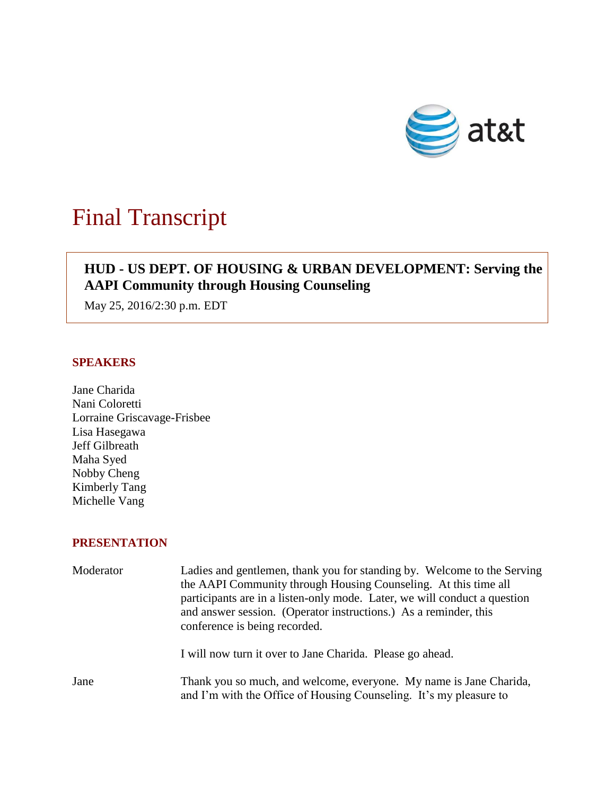

# Final Transcript

# **HUD - US DEPT. OF HOUSING & URBAN DEVELOPMENT: Serving the AAPI Community through Housing Counseling**

May 25, 2016/2:30 p.m. EDT

### **SPEAKERS**

Jane Charida Nani Coloretti Lorraine Griscavage-Frisbee Lisa Hasegawa Jeff Gilbreath Maha Syed Nobby Cheng Kimberly Tang Michelle Vang

## **PRESENTATION**

| Moderator | Ladies and gentlemen, thank you for standing by. Welcome to the Serving<br>the AAPI Community through Housing Counseling. At this time all<br>participants are in a listen-only mode. Later, we will conduct a question<br>and answer session. (Operator instructions.) As a reminder, this<br>conference is being recorded. |
|-----------|------------------------------------------------------------------------------------------------------------------------------------------------------------------------------------------------------------------------------------------------------------------------------------------------------------------------------|
|           | I will now turn it over to Jane Charida. Please go ahead.                                                                                                                                                                                                                                                                    |
| Jane      | Thank you so much, and welcome, everyone. My name is Jane Charida,<br>and I'm with the Office of Housing Counseling. It's my pleasure to                                                                                                                                                                                     |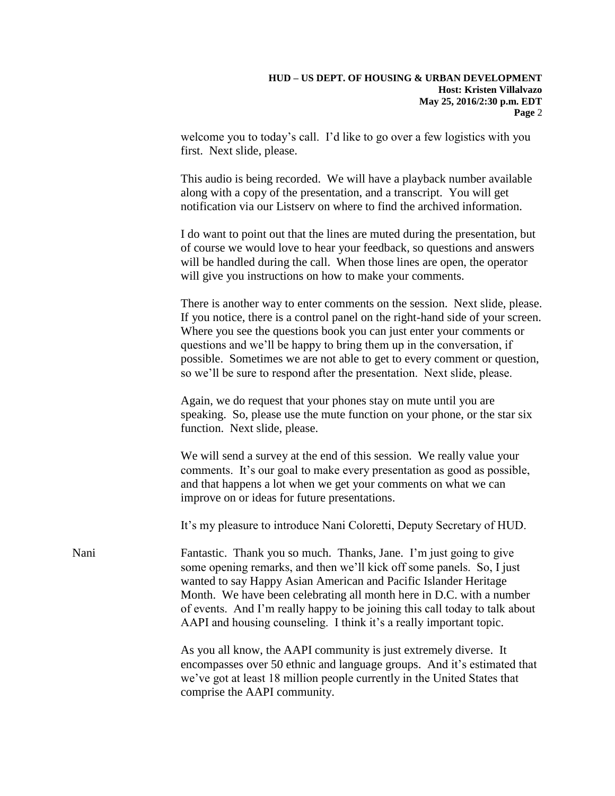welcome you to today's call. I'd like to go over a few logistics with you first. Next slide, please.

This audio is being recorded. We will have a playback number available along with a copy of the presentation, and a transcript. You will get notification via our Listserv on where to find the archived information.

I do want to point out that the lines are muted during the presentation, but of course we would love to hear your feedback, so questions and answers will be handled during the call. When those lines are open, the operator will give you instructions on how to make your comments.

There is another way to enter comments on the session. Next slide, please. If you notice, there is a control panel on the right-hand side of your screen. Where you see the questions book you can just enter your comments or questions and we'll be happy to bring them up in the conversation, if possible. Sometimes we are not able to get to every comment or question, so we'll be sure to respond after the presentation. Next slide, please.

Again, we do request that your phones stay on mute until you are speaking. So, please use the mute function on your phone, or the star six function. Next slide, please.

We will send a survey at the end of this session. We really value your comments. It's our goal to make every presentation as good as possible, and that happens a lot when we get your comments on what we can improve on or ideas for future presentations.

It's my pleasure to introduce Nani Coloretti, Deputy Secretary of HUD.

Nani Fantastic. Thank you so much. Thanks, Jane. I'm just going to give some opening remarks, and then we'll kick off some panels. So, I just wanted to say Happy Asian American and Pacific Islander Heritage Month. We have been celebrating all month here in D.C. with a number of events. And I'm really happy to be joining this call today to talk about AAPI and housing counseling. I think it's a really important topic.

> As you all know, the AAPI community is just extremely diverse. It encompasses over 50 ethnic and language groups. And it's estimated that we've got at least 18 million people currently in the United States that comprise the AAPI community.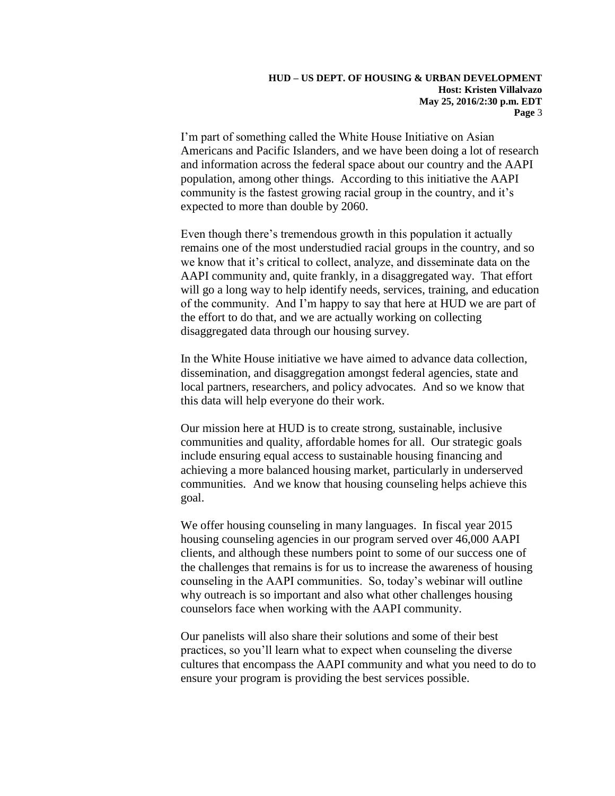I'm part of something called the White House Initiative on Asian Americans and Pacific Islanders, and we have been doing a lot of research and information across the federal space about our country and the AAPI population, among other things. According to this initiative the AAPI community is the fastest growing racial group in the country, and it's expected to more than double by 2060.

Even though there's tremendous growth in this population it actually remains one of the most understudied racial groups in the country, and so we know that it's critical to collect, analyze, and disseminate data on the AAPI community and, quite frankly, in a disaggregated way. That effort will go a long way to help identify needs, services, training, and education of the community. And I'm happy to say that here at HUD we are part of the effort to do that, and we are actually working on collecting disaggregated data through our housing survey.

In the White House initiative we have aimed to advance data collection, dissemination, and disaggregation amongst federal agencies, state and local partners, researchers, and policy advocates. And so we know that this data will help everyone do their work.

Our mission here at HUD is to create strong, sustainable, inclusive communities and quality, affordable homes for all. Our strategic goals include ensuring equal access to sustainable housing financing and achieving a more balanced housing market, particularly in underserved communities. And we know that housing counseling helps achieve this goal.

We offer housing counseling in many languages. In fiscal year 2015 housing counseling agencies in our program served over 46,000 AAPI clients, and although these numbers point to some of our success one of the challenges that remains is for us to increase the awareness of housing counseling in the AAPI communities. So, today's webinar will outline why outreach is so important and also what other challenges housing counselors face when working with the AAPI community.

Our panelists will also share their solutions and some of their best practices, so you'll learn what to expect when counseling the diverse cultures that encompass the AAPI community and what you need to do to ensure your program is providing the best services possible.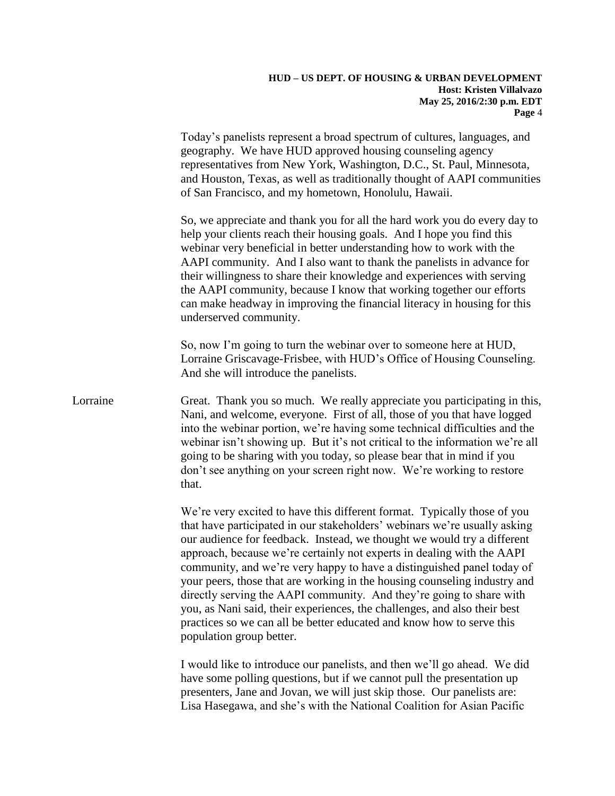Today's panelists represent a broad spectrum of cultures, languages, and geography. We have HUD approved housing counseling agency representatives from New York, Washington, D.C., St. Paul, Minnesota, and Houston, Texas, as well as traditionally thought of AAPI communities of San Francisco, and my hometown, Honolulu, Hawaii.

So, we appreciate and thank you for all the hard work you do every day to help your clients reach their housing goals. And I hope you find this webinar very beneficial in better understanding how to work with the AAPI community. And I also want to thank the panelists in advance for their willingness to share their knowledge and experiences with serving the AAPI community, because I know that working together our efforts can make headway in improving the financial literacy in housing for this underserved community.

So, now I'm going to turn the webinar over to someone here at HUD, Lorraine Griscavage-Frisbee, with HUD's Office of Housing Counseling. And she will introduce the panelists.

Lorraine Great. Thank you so much. We really appreciate you participating in this, Nani, and welcome, everyone. First of all, those of you that have logged into the webinar portion, we're having some technical difficulties and the webinar isn't showing up. But it's not critical to the information we're all going to be sharing with you today, so please bear that in mind if you don't see anything on your screen right now. We're working to restore that.

> We're very excited to have this different format. Typically those of you that have participated in our stakeholders' webinars we're usually asking our audience for feedback. Instead, we thought we would try a different approach, because we're certainly not experts in dealing with the AAPI community, and we're very happy to have a distinguished panel today of your peers, those that are working in the housing counseling industry and directly serving the AAPI community. And they're going to share with you, as Nani said, their experiences, the challenges, and also their best practices so we can all be better educated and know how to serve this population group better.

I would like to introduce our panelists, and then we'll go ahead. We did have some polling questions, but if we cannot pull the presentation up presenters, Jane and Jovan, we will just skip those. Our panelists are: Lisa Hasegawa, and she's with the National Coalition for Asian Pacific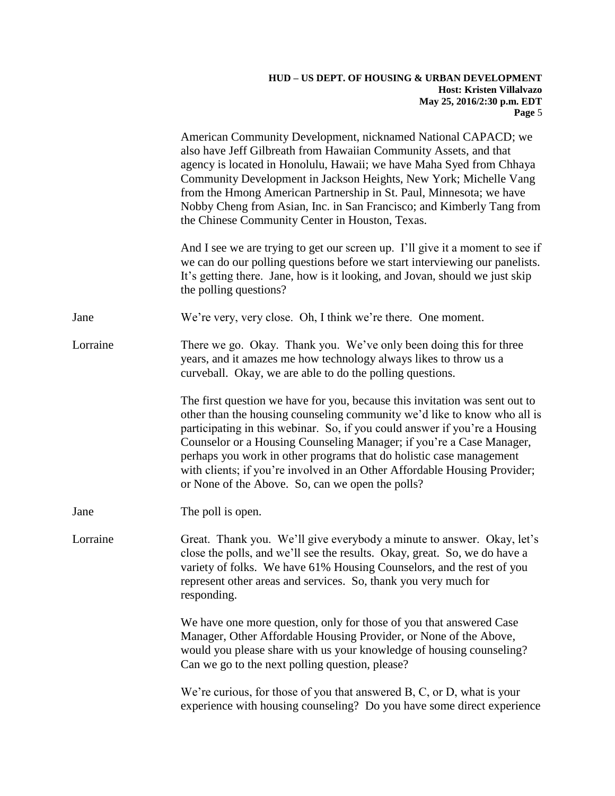|          | American Community Development, nicknamed National CAPACD; we<br>also have Jeff Gilbreath from Hawaiian Community Assets, and that<br>agency is located in Honolulu, Hawaii; we have Maha Syed from Chhaya<br>Community Development in Jackson Heights, New York; Michelle Vang<br>from the Hmong American Partnership in St. Paul, Minnesota; we have<br>Nobby Cheng from Asian, Inc. in San Francisco; and Kimberly Tang from<br>the Chinese Community Center in Houston, Texas.                                    |
|----------|-----------------------------------------------------------------------------------------------------------------------------------------------------------------------------------------------------------------------------------------------------------------------------------------------------------------------------------------------------------------------------------------------------------------------------------------------------------------------------------------------------------------------|
|          | And I see we are trying to get our screen up. I'll give it a moment to see if<br>we can do our polling questions before we start interviewing our panelists.<br>It's getting there. Jane, how is it looking, and Jovan, should we just skip<br>the polling questions?                                                                                                                                                                                                                                                 |
| Jane     | We're very, very close. Oh, I think we're there. One moment.                                                                                                                                                                                                                                                                                                                                                                                                                                                          |
| Lorraine | There we go. Okay. Thank you. We've only been doing this for three<br>years, and it amazes me how technology always likes to throw us a<br>curveball. Okay, we are able to do the polling questions.                                                                                                                                                                                                                                                                                                                  |
|          | The first question we have for you, because this invitation was sent out to<br>other than the housing counseling community we'd like to know who all is<br>participating in this webinar. So, if you could answer if you're a Housing<br>Counselor or a Housing Counseling Manager; if you're a Case Manager,<br>perhaps you work in other programs that do holistic case management<br>with clients; if you're involved in an Other Affordable Housing Provider;<br>or None of the Above. So, can we open the polls? |
| Jane     | The poll is open.                                                                                                                                                                                                                                                                                                                                                                                                                                                                                                     |
| Lorraine | Great. Thank you. We'll give everybody a minute to answer. Okay, let's<br>close the polls, and we'll see the results. Okay, great. So, we do have a<br>variety of folks. We have 61% Housing Counselors, and the rest of you<br>represent other areas and services. So, thank you very much for<br>responding.                                                                                                                                                                                                        |
|          | We have one more question, only for those of you that answered Case<br>Manager, Other Affordable Housing Provider, or None of the Above,<br>would you please share with us your knowledge of housing counseling?<br>Can we go to the next polling question, please?                                                                                                                                                                                                                                                   |
|          | We're curious, for those of you that answered $B, C, or D$ , what is your<br>experience with housing counseling? Do you have some direct experience                                                                                                                                                                                                                                                                                                                                                                   |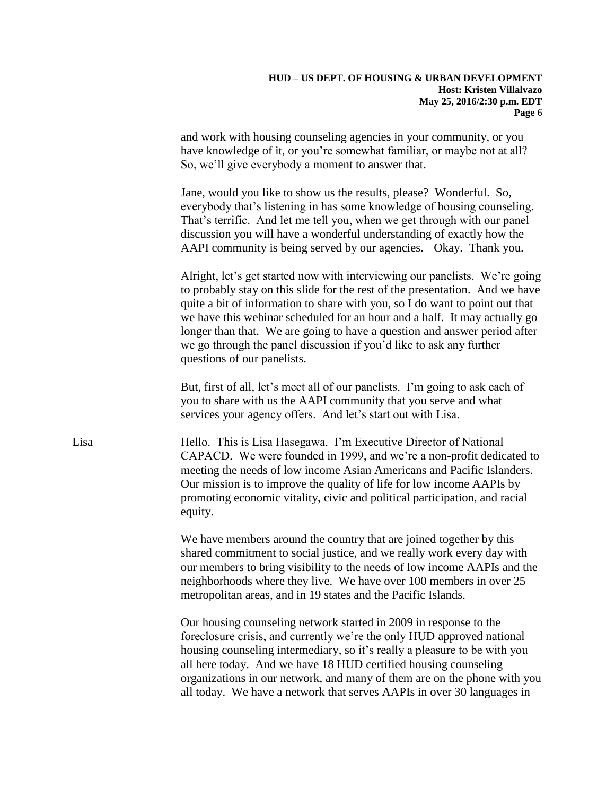and work with housing counseling agencies in your community, or you have knowledge of it, or you're somewhat familiar, or maybe not at all? So, we'll give everybody a moment to answer that.

Jane, would you like to show us the results, please? Wonderful. So, everybody that's listening in has some knowledge of housing counseling. That's terrific. And let me tell you, when we get through with our panel discussion you will have a wonderful understanding of exactly how the AAPI community is being served by our agencies. Okay. Thank you.

Alright, let's get started now with interviewing our panelists. We're going to probably stay on this slide for the rest of the presentation. And we have quite a bit of information to share with you, so I do want to point out that we have this webinar scheduled for an hour and a half. It may actually go longer than that. We are going to have a question and answer period after we go through the panel discussion if you'd like to ask any further questions of our panelists.

But, first of all, let's meet all of our panelists. I'm going to ask each of you to share with us the AAPI community that you serve and what services your agency offers. And let's start out with Lisa.

Lisa Hello. This is Lisa Hasegawa. I'm Executive Director of National CAPACD. We were founded in 1999, and we're a non-profit dedicated to meeting the needs of low income Asian Americans and Pacific Islanders. Our mission is to improve the quality of life for low income AAPIs by promoting economic vitality, civic and political participation, and racial equity.

> We have members around the country that are joined together by this shared commitment to social justice, and we really work every day with our members to bring visibility to the needs of low income AAPIs and the neighborhoods where they live. We have over 100 members in over 25 metropolitan areas, and in 19 states and the Pacific Islands.

Our housing counseling network started in 2009 in response to the foreclosure crisis, and currently we're the only HUD approved national housing counseling intermediary, so it's really a pleasure to be with you all here today. And we have 18 HUD certified housing counseling organizations in our network, and many of them are on the phone with you all today. We have a network that serves AAPIs in over 30 languages in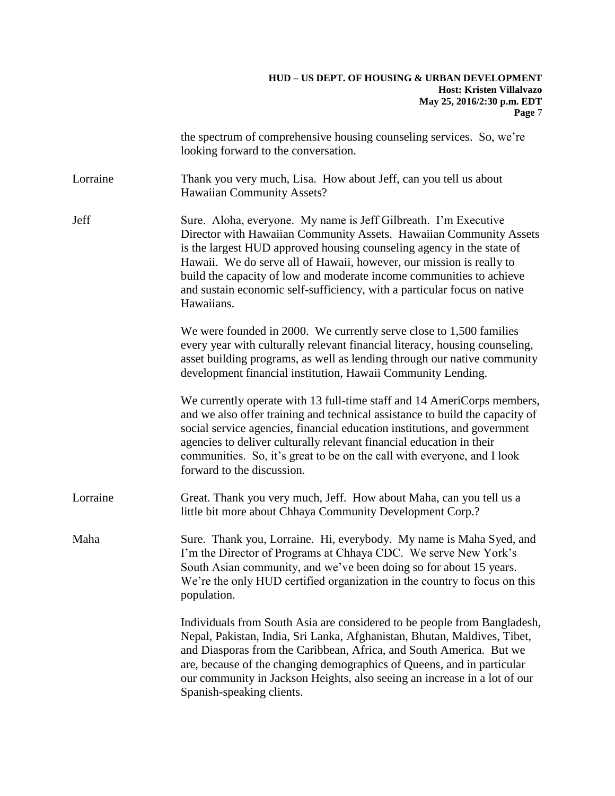|          | the spectrum of comprehensive housing counseling services. So, we're<br>looking forward to the conversation.                                                                                                                                                                                                                                                                                                                                             |
|----------|----------------------------------------------------------------------------------------------------------------------------------------------------------------------------------------------------------------------------------------------------------------------------------------------------------------------------------------------------------------------------------------------------------------------------------------------------------|
| Lorraine | Thank you very much, Lisa. How about Jeff, can you tell us about<br><b>Hawaiian Community Assets?</b>                                                                                                                                                                                                                                                                                                                                                    |
| Jeff     | Sure. Aloha, everyone. My name is Jeff Gilbreath. I'm Executive<br>Director with Hawaiian Community Assets. Hawaiian Community Assets<br>is the largest HUD approved housing counseling agency in the state of<br>Hawaii. We do serve all of Hawaii, however, our mission is really to<br>build the capacity of low and moderate income communities to achieve<br>and sustain economic self-sufficiency, with a particular focus on native<br>Hawaiians. |
|          | We were founded in 2000. We currently serve close to 1,500 families<br>every year with culturally relevant financial literacy, housing counseling,<br>asset building programs, as well as lending through our native community<br>development financial institution, Hawaii Community Lending.                                                                                                                                                           |
|          | We currently operate with 13 full-time staff and 14 AmeriCorps members,<br>and we also offer training and technical assistance to build the capacity of<br>social service agencies, financial education institutions, and government<br>agencies to deliver culturally relevant financial education in their<br>communities. So, it's great to be on the call with everyone, and I look<br>forward to the discussion.                                    |
| Lorraine | Great. Thank you very much, Jeff. How about Maha, can you tell us a<br>little bit more about Chhaya Community Development Corp.?                                                                                                                                                                                                                                                                                                                         |
| Maha     | Sure. Thank you, Lorraine. Hi, everybody. My name is Maha Syed, and<br>I'm the Director of Programs at Chhaya CDC. We serve New York's<br>South Asian community, and we've been doing so for about 15 years.<br>We're the only HUD certified organization in the country to focus on this<br>population.                                                                                                                                                 |
|          | Individuals from South Asia are considered to be people from Bangladesh,<br>Nepal, Pakistan, India, Sri Lanka, Afghanistan, Bhutan, Maldives, Tibet,<br>and Diasporas from the Caribbean, Africa, and South America. But we<br>are, because of the changing demographics of Queens, and in particular<br>our community in Jackson Heights, also seeing an increase in a lot of our<br>Spanish-speaking clients.                                          |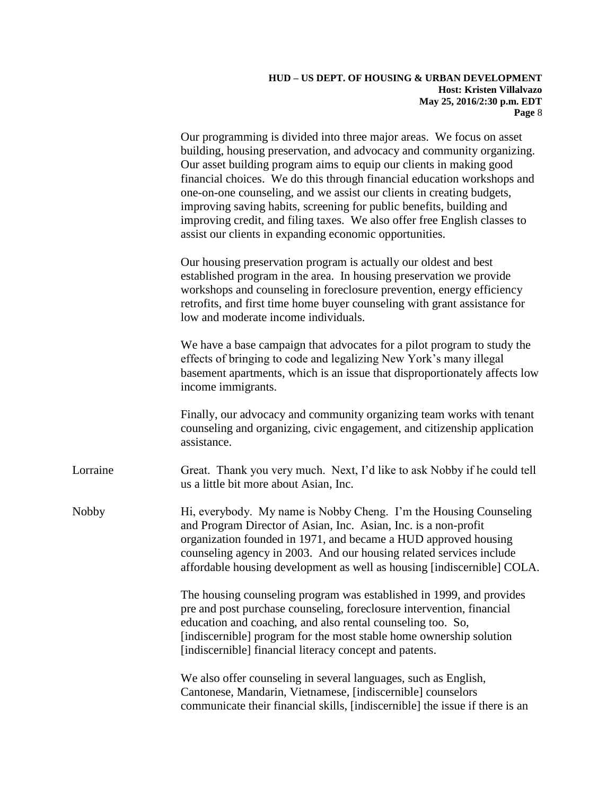Our programming is divided into three major areas. We focus on asset building, housing preservation, and advocacy and community organizing. Our asset building program aims to equip our clients in making good financial choices. We do this through financial education workshops and one-on-one counseling, and we assist our clients in creating budgets, improving saving habits, screening for public benefits, building and improving credit, and filing taxes. We also offer free English classes to assist our clients in expanding economic opportunities.

Our housing preservation program is actually our oldest and best established program in the area. In housing preservation we provide workshops and counseling in foreclosure prevention, energy efficiency retrofits, and first time home buyer counseling with grant assistance for low and moderate income individuals.

We have a base campaign that advocates for a pilot program to study the effects of bringing to code and legalizing New York's many illegal basement apartments, which is an issue that disproportionately affects low income immigrants.

Finally, our advocacy and community organizing team works with tenant counseling and organizing, civic engagement, and citizenship application assistance.

Lorraine Great. Thank you very much. Next, I'd like to ask Nobby if he could tell us a little bit more about Asian, Inc.

Nobby Hi, everybody. My name is Nobby Cheng. I'm the Housing Counseling and Program Director of Asian, Inc. Asian, Inc. is a non-profit organization founded in 1971, and became a HUD approved housing counseling agency in 2003. And our housing related services include affordable housing development as well as housing [indiscernible] COLA.

> The housing counseling program was established in 1999, and provides pre and post purchase counseling, foreclosure intervention, financial education and coaching, and also rental counseling too. So, [indiscernible] program for the most stable home ownership solution [indiscernible] financial literacy concept and patents.

> We also offer counseling in several languages, such as English, Cantonese, Mandarin, Vietnamese, [indiscernible] counselors communicate their financial skills, [indiscernible] the issue if there is an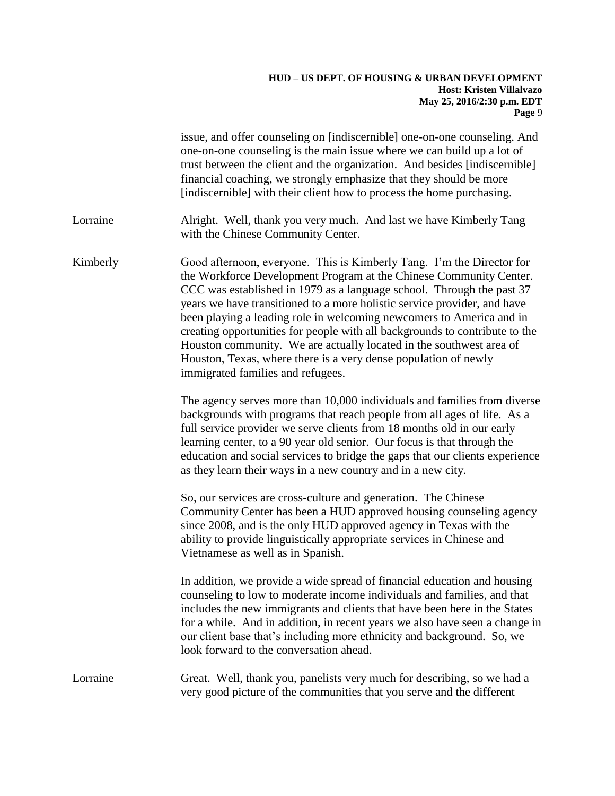|          | issue, and offer counseling on [indiscernible] one-on-one counseling. And<br>one-on-one counseling is the main issue where we can build up a lot of<br>trust between the client and the organization. And besides [indiscernible]<br>financial coaching, we strongly emphasize that they should be more<br>[indiscernible] with their client how to process the home purchasing.                                                                                                                                                                                                                                                       |
|----------|----------------------------------------------------------------------------------------------------------------------------------------------------------------------------------------------------------------------------------------------------------------------------------------------------------------------------------------------------------------------------------------------------------------------------------------------------------------------------------------------------------------------------------------------------------------------------------------------------------------------------------------|
| Lorraine | Alright. Well, thank you very much. And last we have Kimberly Tang<br>with the Chinese Community Center.                                                                                                                                                                                                                                                                                                                                                                                                                                                                                                                               |
| Kimberly | Good afternoon, everyone. This is Kimberly Tang. I'm the Director for<br>the Workforce Development Program at the Chinese Community Center.<br>CCC was established in 1979 as a language school. Through the past 37<br>years we have transitioned to a more holistic service provider, and have<br>been playing a leading role in welcoming newcomers to America and in<br>creating opportunities for people with all backgrounds to contribute to the<br>Houston community. We are actually located in the southwest area of<br>Houston, Texas, where there is a very dense population of newly<br>immigrated families and refugees. |
|          | The agency serves more than 10,000 individuals and families from diverse<br>backgrounds with programs that reach people from all ages of life. As a<br>full service provider we serve clients from 18 months old in our early<br>learning center, to a 90 year old senior. Our focus is that through the<br>education and social services to bridge the gaps that our clients experience<br>as they learn their ways in a new country and in a new city.                                                                                                                                                                               |
|          | So, our services are cross-culture and generation. The Chinese<br>Community Center has been a HUD approved housing counseling agency<br>since 2008, and is the only HUD approved agency in Texas with the<br>ability to provide linguistically appropriate services in Chinese and<br>Vietnamese as well as in Spanish.                                                                                                                                                                                                                                                                                                                |
|          | In addition, we provide a wide spread of financial education and housing<br>counseling to low to moderate income individuals and families, and that<br>includes the new immigrants and clients that have been here in the States<br>for a while. And in addition, in recent years we also have seen a change in<br>our client base that's including more ethnicity and background. So, we<br>look forward to the conversation ahead.                                                                                                                                                                                                   |
| Lorraine | Great. Well, thank you, panelists very much for describing, so we had a<br>very good picture of the communities that you serve and the different                                                                                                                                                                                                                                                                                                                                                                                                                                                                                       |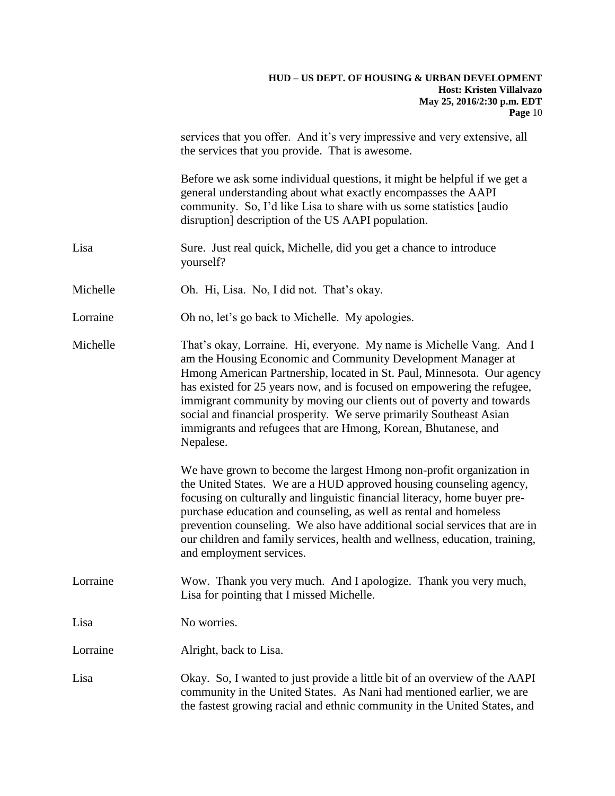|          | services that you offer. And it's very impressive and very extensive, all<br>the services that you provide. That is awesome.                                                                                                                                                                                                                                                                                                                                                                                                                                                                    |
|----------|-------------------------------------------------------------------------------------------------------------------------------------------------------------------------------------------------------------------------------------------------------------------------------------------------------------------------------------------------------------------------------------------------------------------------------------------------------------------------------------------------------------------------------------------------------------------------------------------------|
|          | Before we ask some individual questions, it might be helpful if we get a<br>general understanding about what exactly encompasses the AAPI<br>community. So, I'd like Lisa to share with us some statistics [audio]<br>disruption] description of the US AAPI population.                                                                                                                                                                                                                                                                                                                        |
| Lisa     | Sure. Just real quick, Michelle, did you get a chance to introduce<br>yourself?                                                                                                                                                                                                                                                                                                                                                                                                                                                                                                                 |
| Michelle | Oh. Hi, Lisa. No, I did not. That's okay.                                                                                                                                                                                                                                                                                                                                                                                                                                                                                                                                                       |
| Lorraine | Oh no, let's go back to Michelle. My apologies.                                                                                                                                                                                                                                                                                                                                                                                                                                                                                                                                                 |
| Michelle | That's okay, Lorraine. Hi, everyone. My name is Michelle Vang. And I<br>am the Housing Economic and Community Development Manager at<br>Hmong American Partnership, located in St. Paul, Minnesota. Our agency<br>has existed for 25 years now, and is focused on empowering the refugee,<br>immigrant community by moving our clients out of poverty and towards<br>social and financial prosperity. We serve primarily Southeast Asian<br>immigrants and refugees that are Hmong, Korean, Bhutanese, and<br>Nepalese.<br>We have grown to become the largest Hmong non-profit organization in |
|          | the United States. We are a HUD approved housing counseling agency,<br>focusing on culturally and linguistic financial literacy, home buyer pre-<br>purchase education and counseling, as well as rental and homeless<br>prevention counseling. We also have additional social services that are in<br>our children and family services, health and wellness, education, training,<br>and employment services.                                                                                                                                                                                  |
| Lorraine | Wow. Thank you very much. And I apologize. Thank you very much,<br>Lisa for pointing that I missed Michelle.                                                                                                                                                                                                                                                                                                                                                                                                                                                                                    |
| Lisa     | No worries.                                                                                                                                                                                                                                                                                                                                                                                                                                                                                                                                                                                     |
| Lorraine | Alright, back to Lisa.                                                                                                                                                                                                                                                                                                                                                                                                                                                                                                                                                                          |
| Lisa     | Okay. So, I wanted to just provide a little bit of an overview of the AAPI<br>community in the United States. As Nani had mentioned earlier, we are<br>the fastest growing racial and ethnic community in the United States, and                                                                                                                                                                                                                                                                                                                                                                |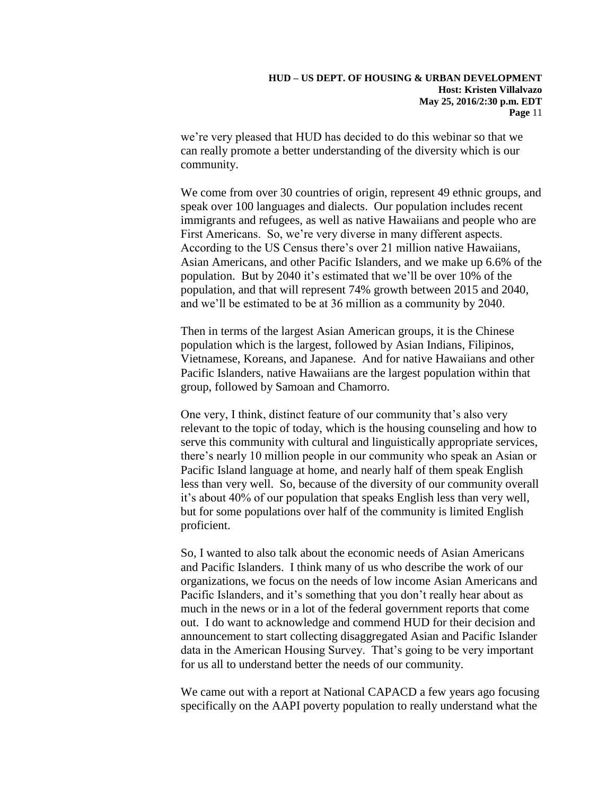we're very pleased that HUD has decided to do this webinar so that we can really promote a better understanding of the diversity which is our community.

We come from over 30 countries of origin, represent 49 ethnic groups, and speak over 100 languages and dialects. Our population includes recent immigrants and refugees, as well as native Hawaiians and people who are First Americans. So, we're very diverse in many different aspects. According to the US Census there's over 21 million native Hawaiians, Asian Americans, and other Pacific Islanders, and we make up 6.6% of the population. But by 2040 it's estimated that we'll be over 10% of the population, and that will represent 74% growth between 2015 and 2040, and we'll be estimated to be at 36 million as a community by 2040.

Then in terms of the largest Asian American groups, it is the Chinese population which is the largest, followed by Asian Indians, Filipinos, Vietnamese, Koreans, and Japanese. And for native Hawaiians and other Pacific Islanders, native Hawaiians are the largest population within that group, followed by Samoan and Chamorro.

One very, I think, distinct feature of our community that's also very relevant to the topic of today, which is the housing counseling and how to serve this community with cultural and linguistically appropriate services, there's nearly 10 million people in our community who speak an Asian or Pacific Island language at home, and nearly half of them speak English less than very well. So, because of the diversity of our community overall it's about 40% of our population that speaks English less than very well, but for some populations over half of the community is limited English proficient.

So, I wanted to also talk about the economic needs of Asian Americans and Pacific Islanders. I think many of us who describe the work of our organizations, we focus on the needs of low income Asian Americans and Pacific Islanders, and it's something that you don't really hear about as much in the news or in a lot of the federal government reports that come out. I do want to acknowledge and commend HUD for their decision and announcement to start collecting disaggregated Asian and Pacific Islander data in the American Housing Survey. That's going to be very important for us all to understand better the needs of our community.

We came out with a report at National CAPACD a few years ago focusing specifically on the AAPI poverty population to really understand what the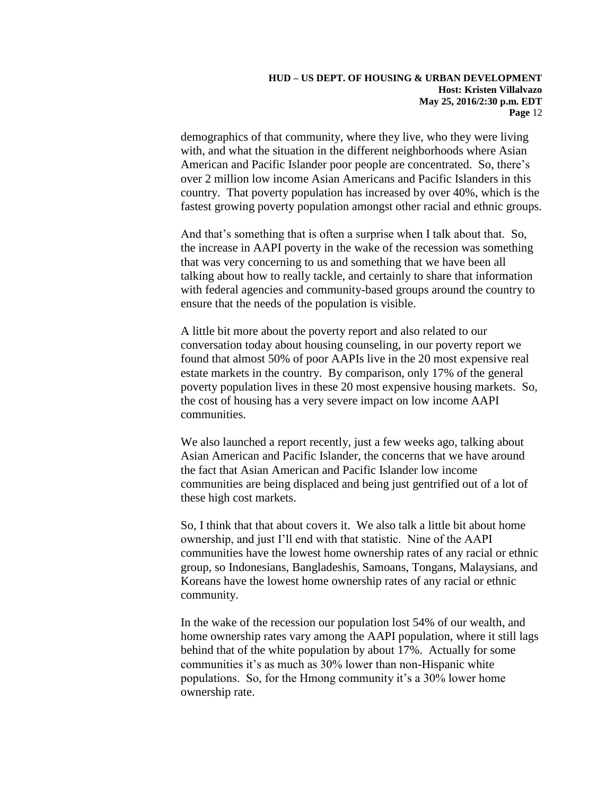demographics of that community, where they live, who they were living with, and what the situation in the different neighborhoods where Asian American and Pacific Islander poor people are concentrated. So, there's over 2 million low income Asian Americans and Pacific Islanders in this country. That poverty population has increased by over 40%, which is the fastest growing poverty population amongst other racial and ethnic groups.

And that's something that is often a surprise when I talk about that. So, the increase in AAPI poverty in the wake of the recession was something that was very concerning to us and something that we have been all talking about how to really tackle, and certainly to share that information with federal agencies and community-based groups around the country to ensure that the needs of the population is visible.

A little bit more about the poverty report and also related to our conversation today about housing counseling, in our poverty report we found that almost 50% of poor AAPIs live in the 20 most expensive real estate markets in the country. By comparison, only 17% of the general poverty population lives in these 20 most expensive housing markets. So, the cost of housing has a very severe impact on low income AAPI communities.

We also launched a report recently, just a few weeks ago, talking about Asian American and Pacific Islander, the concerns that we have around the fact that Asian American and Pacific Islander low income communities are being displaced and being just gentrified out of a lot of these high cost markets.

So, I think that that about covers it. We also talk a little bit about home ownership, and just I'll end with that statistic. Nine of the AAPI communities have the lowest home ownership rates of any racial or ethnic group, so Indonesians, Bangladeshis, Samoans, Tongans, Malaysians, and Koreans have the lowest home ownership rates of any racial or ethnic community.

In the wake of the recession our population lost 54% of our wealth, and home ownership rates vary among the AAPI population, where it still lags behind that of the white population by about 17%. Actually for some communities it's as much as 30% lower than non-Hispanic white populations. So, for the Hmong community it's a 30% lower home ownership rate.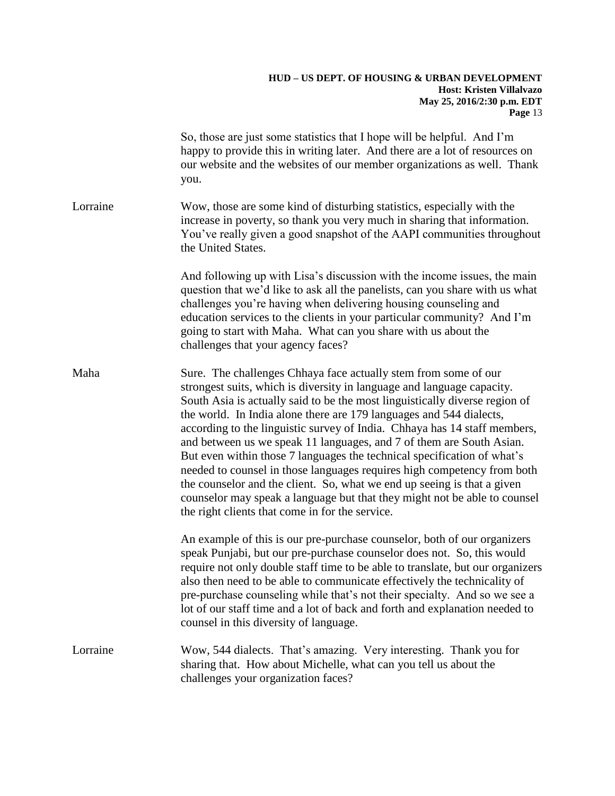|          | So, those are just some statistics that I hope will be helpful. And I'm<br>happy to provide this in writing later. And there are a lot of resources on<br>our website and the websites of our member organizations as well. Thank<br>you.                                                                                                                                                                                                                                                                                                                                                                                                                                                                                                                                                                             |
|----------|-----------------------------------------------------------------------------------------------------------------------------------------------------------------------------------------------------------------------------------------------------------------------------------------------------------------------------------------------------------------------------------------------------------------------------------------------------------------------------------------------------------------------------------------------------------------------------------------------------------------------------------------------------------------------------------------------------------------------------------------------------------------------------------------------------------------------|
| Lorraine | Wow, those are some kind of disturbing statistics, especially with the<br>increase in poverty, so thank you very much in sharing that information.<br>You've really given a good snapshot of the AAPI communities throughout<br>the United States.                                                                                                                                                                                                                                                                                                                                                                                                                                                                                                                                                                    |
|          | And following up with Lisa's discussion with the income issues, the main<br>question that we'd like to ask all the panelists, can you share with us what<br>challenges you're having when delivering housing counseling and<br>education services to the clients in your particular community? And I'm<br>going to start with Maha. What can you share with us about the<br>challenges that your agency faces?                                                                                                                                                                                                                                                                                                                                                                                                        |
| Maha     | Sure. The challenges Chhaya face actually stem from some of our<br>strongest suits, which is diversity in language and language capacity.<br>South Asia is actually said to be the most linguistically diverse region of<br>the world. In India alone there are 179 languages and 544 dialects,<br>according to the linguistic survey of India. Chhaya has 14 staff members,<br>and between us we speak 11 languages, and 7 of them are South Asian.<br>But even within those 7 languages the technical specification of what's<br>needed to counsel in those languages requires high competency from both<br>the counselor and the client. So, what we end up seeing is that a given<br>counselor may speak a language but that they might not be able to counsel<br>the right clients that come in for the service. |
|          | An example of this is our pre-purchase counselor, both of our organizers<br>speak Punjabi, but our pre-purchase counselor does not. So, this would<br>require not only double staff time to be able to translate, but our organizers<br>also then need to be able to communicate effectively the technicality of<br>pre-purchase counseling while that's not their specialty. And so we see a<br>lot of our staff time and a lot of back and forth and explanation needed to<br>counsel in this diversity of language.                                                                                                                                                                                                                                                                                                |
| Lorraine | Wow, 544 dialects. That's amazing. Very interesting. Thank you for<br>sharing that. How about Michelle, what can you tell us about the<br>challenges your organization faces?                                                                                                                                                                                                                                                                                                                                                                                                                                                                                                                                                                                                                                         |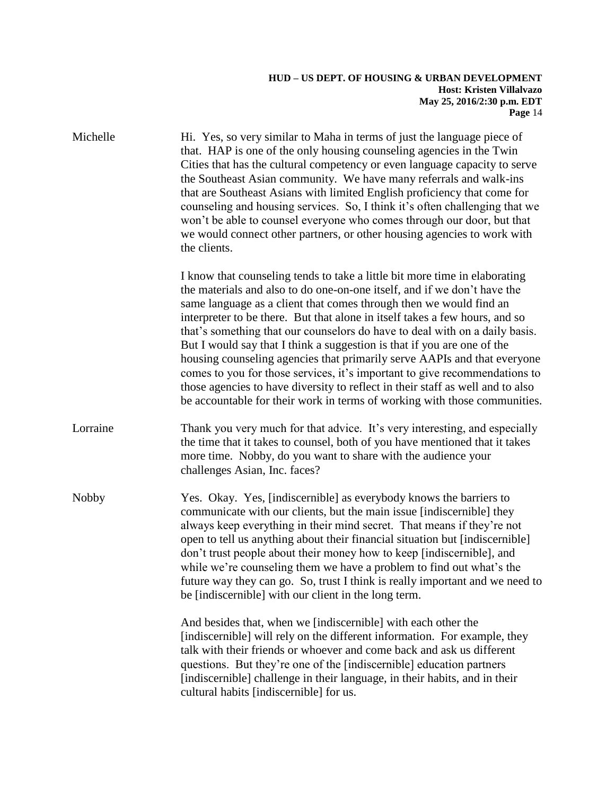| Michelle     | Hi. Yes, so very similar to Maha in terms of just the language piece of<br>that. HAP is one of the only housing counseling agencies in the Twin<br>Cities that has the cultural competency or even language capacity to serve<br>the Southeast Asian community. We have many referrals and walk-ins<br>that are Southeast Asians with limited English proficiency that come for<br>counseling and housing services. So, I think it's often challenging that we<br>won't be able to counsel everyone who comes through our door, but that<br>we would connect other partners, or other housing agencies to work with<br>the clients.                                                                                                                                                            |
|--------------|------------------------------------------------------------------------------------------------------------------------------------------------------------------------------------------------------------------------------------------------------------------------------------------------------------------------------------------------------------------------------------------------------------------------------------------------------------------------------------------------------------------------------------------------------------------------------------------------------------------------------------------------------------------------------------------------------------------------------------------------------------------------------------------------|
|              | I know that counseling tends to take a little bit more time in elaborating<br>the materials and also to do one-on-one itself, and if we don't have the<br>same language as a client that comes through then we would find an<br>interpreter to be there. But that alone in itself takes a few hours, and so<br>that's something that our counselors do have to deal with on a daily basis.<br>But I would say that I think a suggestion is that if you are one of the<br>housing counseling agencies that primarily serve AAPIs and that everyone<br>comes to you for those services, it's important to give recommendations to<br>those agencies to have diversity to reflect in their staff as well and to also<br>be accountable for their work in terms of working with those communities. |
| Lorraine     | Thank you very much for that advice. It's very interesting, and especially<br>the time that it takes to counsel, both of you have mentioned that it takes<br>more time. Nobby, do you want to share with the audience your<br>challenges Asian, Inc. faces?                                                                                                                                                                                                                                                                                                                                                                                                                                                                                                                                    |
| <b>Nobby</b> | Yes. Okay. Yes, [indiscernible] as everybody knows the barriers to<br>communicate with our clients, but the main issue [indiscernible] they<br>always keep everything in their mind secret. That means if they're not<br>open to tell us anything about their financial situation but [indiscernible]<br>don't trust people about their money how to keep [indiscernible], and<br>while we're counseling them we have a problem to find out what's the<br>future way they can go. So, trust I think is really important and we need to<br>be [indiscernible] with our client in the long term.                                                                                                                                                                                                 |
|              | And besides that, when we [indiscernible] with each other the<br>[indiscernible] will rely on the different information. For example, they<br>talk with their friends or whoever and come back and ask us different<br>questions. But they're one of the [indiscernible] education partners<br>[indiscernible] challenge in their language, in their habits, and in their<br>cultural habits [indiscernible] for us.                                                                                                                                                                                                                                                                                                                                                                           |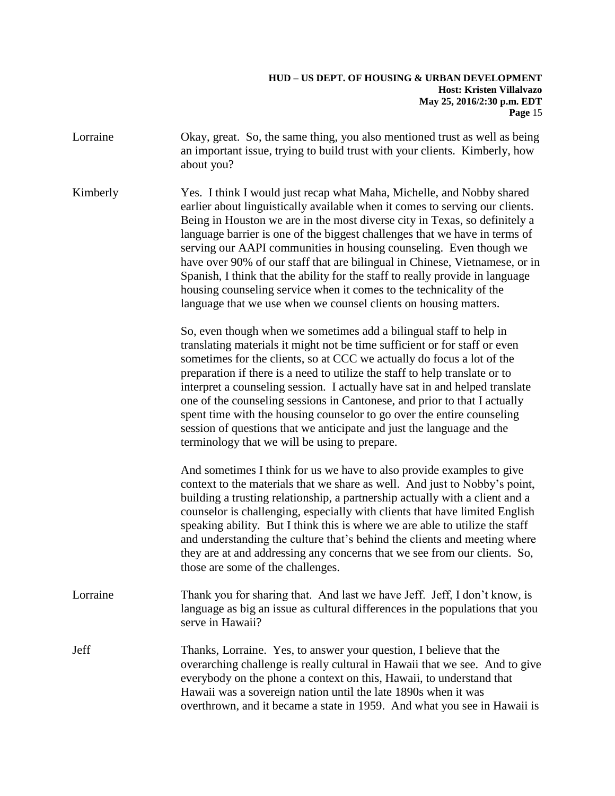Lorraine Okay, great. So, the same thing, you also mentioned trust as well as being an important issue, trying to build trust with your clients. Kimberly, how about you?

Kimberly Yes. I think I would just recap what Maha, Michelle, and Nobby shared earlier about linguistically available when it comes to serving our clients. Being in Houston we are in the most diverse city in Texas, so definitely a language barrier is one of the biggest challenges that we have in terms of serving our AAPI communities in housing counseling. Even though we have over 90% of our staff that are bilingual in Chinese, Vietnamese, or in Spanish, I think that the ability for the staff to really provide in language housing counseling service when it comes to the technicality of the language that we use when we counsel clients on housing matters.

> So, even though when we sometimes add a bilingual staff to help in translating materials it might not be time sufficient or for staff or even sometimes for the clients, so at CCC we actually do focus a lot of the preparation if there is a need to utilize the staff to help translate or to interpret a counseling session. I actually have sat in and helped translate one of the counseling sessions in Cantonese, and prior to that I actually spent time with the housing counselor to go over the entire counseling session of questions that we anticipate and just the language and the terminology that we will be using to prepare.

And sometimes I think for us we have to also provide examples to give context to the materials that we share as well. And just to Nobby's point, building a trusting relationship, a partnership actually with a client and a counselor is challenging, especially with clients that have limited English speaking ability. But I think this is where we are able to utilize the staff and understanding the culture that's behind the clients and meeting where they are at and addressing any concerns that we see from our clients. So, those are some of the challenges.

- Lorraine Thank you for sharing that. And last we have Jeff. Jeff, I don't know, is language as big an issue as cultural differences in the populations that you serve in Hawaii?
- Jeff Thanks, Lorraine. Yes, to answer your question, I believe that the overarching challenge is really cultural in Hawaii that we see. And to give everybody on the phone a context on this, Hawaii, to understand that Hawaii was a sovereign nation until the late 1890s when it was overthrown, and it became a state in 1959. And what you see in Hawaii is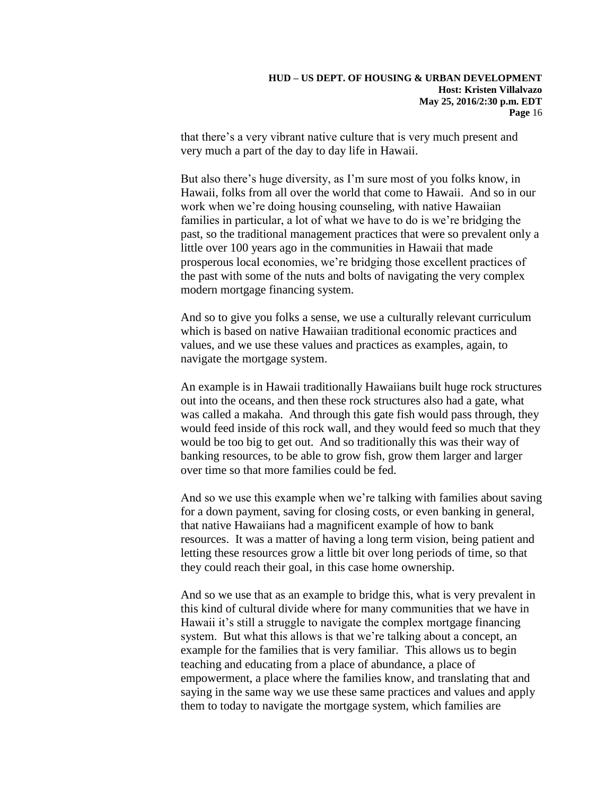that there's a very vibrant native culture that is very much present and very much a part of the day to day life in Hawaii.

But also there's huge diversity, as I'm sure most of you folks know, in Hawaii, folks from all over the world that come to Hawaii. And so in our work when we're doing housing counseling, with native Hawaiian families in particular, a lot of what we have to do is we're bridging the past, so the traditional management practices that were so prevalent only a little over 100 years ago in the communities in Hawaii that made prosperous local economies, we're bridging those excellent practices of the past with some of the nuts and bolts of navigating the very complex modern mortgage financing system.

And so to give you folks a sense, we use a culturally relevant curriculum which is based on native Hawaiian traditional economic practices and values, and we use these values and practices as examples, again, to navigate the mortgage system.

An example is in Hawaii traditionally Hawaiians built huge rock structures out into the oceans, and then these rock structures also had a gate, what was called a makaha. And through this gate fish would pass through, they would feed inside of this rock wall, and they would feed so much that they would be too big to get out. And so traditionally this was their way of banking resources, to be able to grow fish, grow them larger and larger over time so that more families could be fed.

And so we use this example when we're talking with families about saving for a down payment, saving for closing costs, or even banking in general, that native Hawaiians had a magnificent example of how to bank resources. It was a matter of having a long term vision, being patient and letting these resources grow a little bit over long periods of time, so that they could reach their goal, in this case home ownership.

And so we use that as an example to bridge this, what is very prevalent in this kind of cultural divide where for many communities that we have in Hawaii it's still a struggle to navigate the complex mortgage financing system. But what this allows is that we're talking about a concept, an example for the families that is very familiar. This allows us to begin teaching and educating from a place of abundance, a place of empowerment, a place where the families know, and translating that and saying in the same way we use these same practices and values and apply them to today to navigate the mortgage system, which families are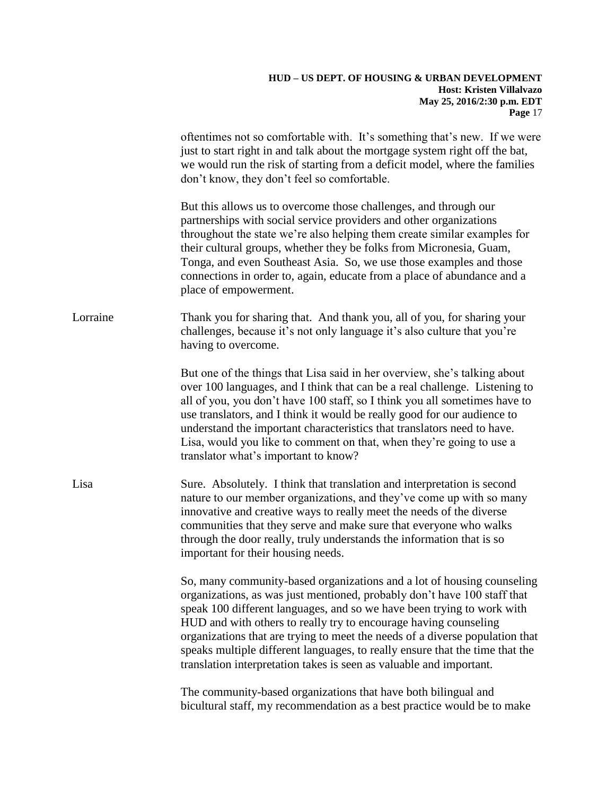|          | oftentimes not so comfortable with. It's something that's new. If we were<br>just to start right in and talk about the mortgage system right off the bat,<br>we would run the risk of starting from a deficit model, where the families<br>don't know, they don't feel so comfortable.                                                                                                                                                                                                                                                  |
|----------|-----------------------------------------------------------------------------------------------------------------------------------------------------------------------------------------------------------------------------------------------------------------------------------------------------------------------------------------------------------------------------------------------------------------------------------------------------------------------------------------------------------------------------------------|
|          | But this allows us to overcome those challenges, and through our<br>partnerships with social service providers and other organizations<br>throughout the state we're also helping them create similar examples for<br>their cultural groups, whether they be folks from Micronesia, Guam,<br>Tonga, and even Southeast Asia. So, we use those examples and those<br>connections in order to, again, educate from a place of abundance and a<br>place of empowerment.                                                                    |
| Lorraine | Thank you for sharing that. And thank you, all of you, for sharing your<br>challenges, because it's not only language it's also culture that you're<br>having to overcome.                                                                                                                                                                                                                                                                                                                                                              |
|          | But one of the things that Lisa said in her overview, she's talking about<br>over 100 languages, and I think that can be a real challenge. Listening to<br>all of you, you don't have 100 staff, so I think you all sometimes have to<br>use translators, and I think it would be really good for our audience to<br>understand the important characteristics that translators need to have.<br>Lisa, would you like to comment on that, when they're going to use a<br>translator what's important to know?                            |
| Lisa     | Sure. Absolutely. I think that translation and interpretation is second<br>nature to our member organizations, and they've come up with so many<br>innovative and creative ways to really meet the needs of the diverse<br>communities that they serve and make sure that everyone who walks<br>through the door really, truly understands the information that is so<br>important for their housing needs.                                                                                                                             |
|          | So, many community-based organizations and a lot of housing counseling<br>organizations, as was just mentioned, probably don't have 100 staff that<br>speak 100 different languages, and so we have been trying to work with<br>HUD and with others to really try to encourage having counseling<br>organizations that are trying to meet the needs of a diverse population that<br>speaks multiple different languages, to really ensure that the time that the<br>translation interpretation takes is seen as valuable and important. |
|          | The community-based organizations that have both bilingual and<br>bicultural staff, my recommendation as a best practice would be to make                                                                                                                                                                                                                                                                                                                                                                                               |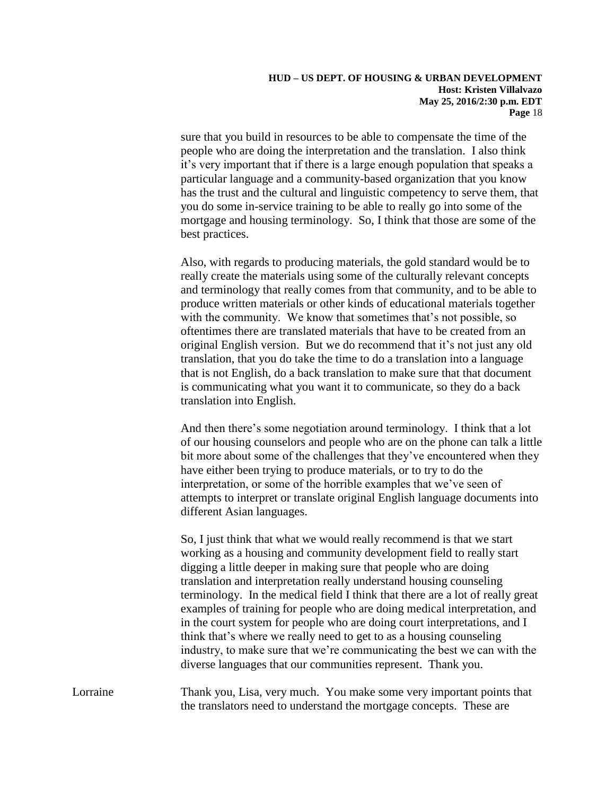sure that you build in resources to be able to compensate the time of the people who are doing the interpretation and the translation. I also think it's very important that if there is a large enough population that speaks a particular language and a community-based organization that you know has the trust and the cultural and linguistic competency to serve them, that you do some in-service training to be able to really go into some of the mortgage and housing terminology. So, I think that those are some of the best practices.

Also, with regards to producing materials, the gold standard would be to really create the materials using some of the culturally relevant concepts and terminology that really comes from that community, and to be able to produce written materials or other kinds of educational materials together with the community. We know that sometimes that's not possible, so oftentimes there are translated materials that have to be created from an original English version. But we do recommend that it's not just any old translation, that you do take the time to do a translation into a language that is not English, do a back translation to make sure that that document is communicating what you want it to communicate, so they do a back translation into English.

And then there's some negotiation around terminology. I think that a lot of our housing counselors and people who are on the phone can talk a little bit more about some of the challenges that they've encountered when they have either been trying to produce materials, or to try to do the interpretation, or some of the horrible examples that we've seen of attempts to interpret or translate original English language documents into different Asian languages.

So, I just think that what we would really recommend is that we start working as a housing and community development field to really start digging a little deeper in making sure that people who are doing translation and interpretation really understand housing counseling terminology. In the medical field I think that there are a lot of really great examples of training for people who are doing medical interpretation, and in the court system for people who are doing court interpretations, and I think that's where we really need to get to as a housing counseling industry, to make sure that we're communicating the best we can with the diverse languages that our communities represent. Thank you.

Lorraine Thank you, Lisa, very much. You make some very important points that the translators need to understand the mortgage concepts. These are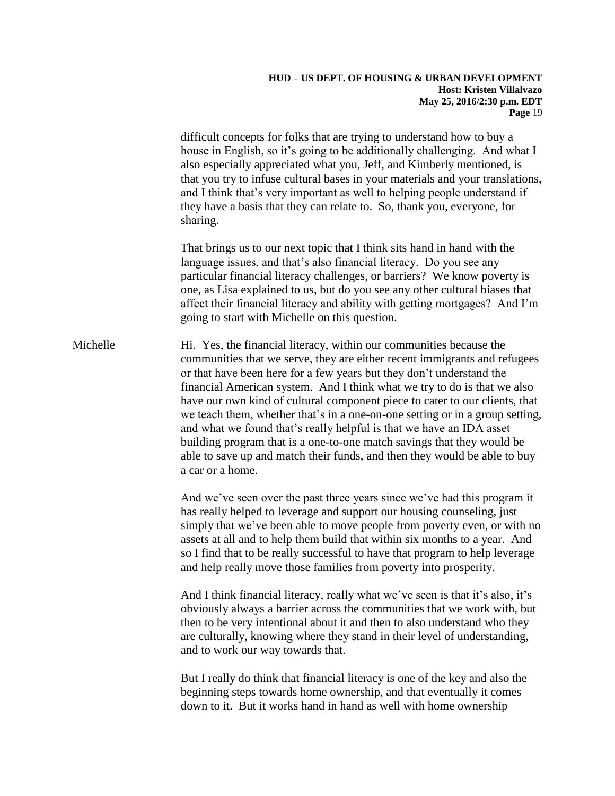difficult concepts for folks that are trying to understand how to buy a house in English, so it's going to be additionally challenging. And what I also especially appreciated what you, Jeff, and Kimberly mentioned, is that you try to infuse cultural bases in your materials and your translations, and I think that's very important as well to helping people understand if they have a basis that they can relate to. So, thank you, everyone, for sharing.

That brings us to our next topic that I think sits hand in hand with the language issues, and that's also financial literacy. Do you see any particular financial literacy challenges, or barriers? We know poverty is one, as Lisa explained to us, but do you see any other cultural biases that affect their financial literacy and ability with getting mortgages? And I'm going to start with Michelle on this question.

Michelle Hi. Yes, the financial literacy, within our communities because the communities that we serve, they are either recent immigrants and refugees or that have been here for a few years but they don't understand the financial American system. And I think what we try to do is that we also have our own kind of cultural component piece to cater to our clients, that we teach them, whether that's in a one-on-one setting or in a group setting, and what we found that's really helpful is that we have an IDA asset building program that is a one-to-one match savings that they would be able to save up and match their funds, and then they would be able to buy a car or a home.

> And we've seen over the past three years since we've had this program it has really helped to leverage and support our housing counseling, just simply that we've been able to move people from poverty even, or with no assets at all and to help them build that within six months to a year. And so I find that to be really successful to have that program to help leverage and help really move those families from poverty into prosperity.

And I think financial literacy, really what we've seen is that it's also, it's obviously always a barrier across the communities that we work with, but then to be very intentional about it and then to also understand who they are culturally, knowing where they stand in their level of understanding, and to work our way towards that.

But I really do think that financial literacy is one of the key and also the beginning steps towards home ownership, and that eventually it comes down to it. But it works hand in hand as well with home ownership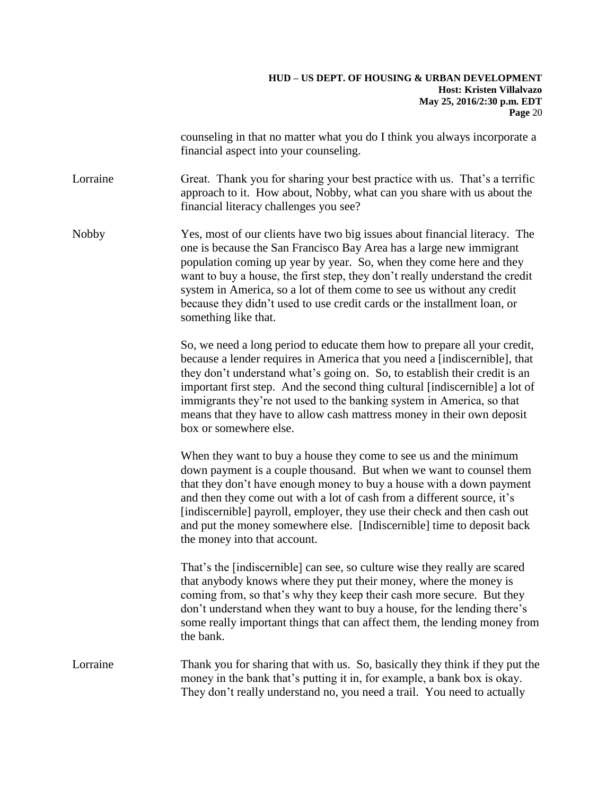counseling in that no matter what you do I think you always incorporate a financial aspect into your counseling.

Lorraine Great. Thank you for sharing your best practice with us. That's a terrific approach to it. How about, Nobby, what can you share with us about the financial literacy challenges you see?

Nobby Yes, most of our clients have two big issues about financial literacy. The one is because the San Francisco Bay Area has a large new immigrant population coming up year by year. So, when they come here and they want to buy a house, the first step, they don't really understand the credit system in America, so a lot of them come to see us without any credit because they didn't used to use credit cards or the installment loan, or something like that.

> So, we need a long period to educate them how to prepare all your credit, because a lender requires in America that you need a [indiscernible], that they don't understand what's going on. So, to establish their credit is an important first step. And the second thing cultural [indiscernible] a lot of immigrants they're not used to the banking system in America, so that means that they have to allow cash mattress money in their own deposit box or somewhere else.

When they want to buy a house they come to see us and the minimum down payment is a couple thousand. But when we want to counsel them that they don't have enough money to buy a house with a down payment and then they come out with a lot of cash from a different source, it's [indiscernible] payroll, employer, they use their check and then cash out and put the money somewhere else. [Indiscernible] time to deposit back the money into that account.

That's the [indiscernible] can see, so culture wise they really are scared that anybody knows where they put their money, where the money is coming from, so that's why they keep their cash more secure. But they don't understand when they want to buy a house, for the lending there's some really important things that can affect them, the lending money from the bank.

Lorraine Thank you for sharing that with us. So, basically they think if they put the money in the bank that's putting it in, for example, a bank box is okay. They don't really understand no, you need a trail. You need to actually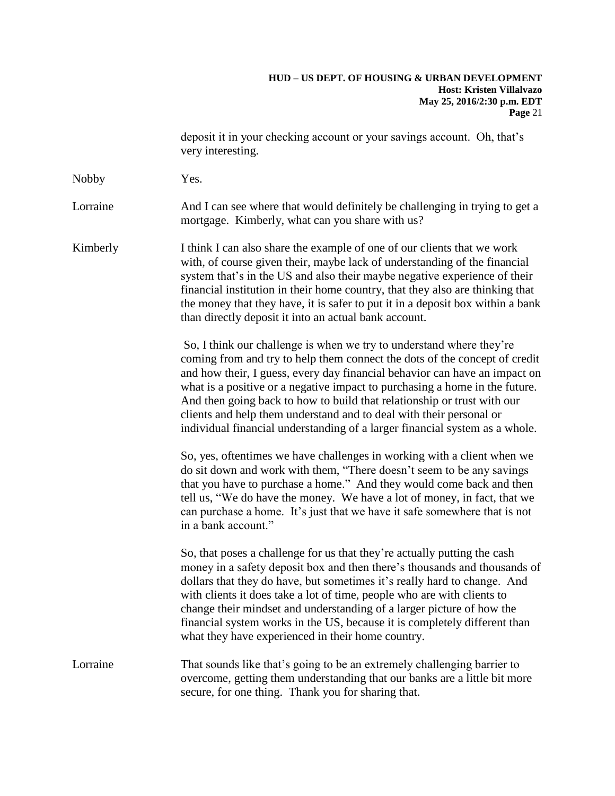deposit it in your checking account or your savings account. Oh, that's very interesting.

Nobby **Yes.** 

Lorraine And I can see where that would definitely be challenging in trying to get a mortgage. Kimberly, what can you share with us?

Kimberly I think I can also share the example of one of our clients that we work with, of course given their, maybe lack of understanding of the financial system that's in the US and also their maybe negative experience of their financial institution in their home country, that they also are thinking that the money that they have, it is safer to put it in a deposit box within a bank than directly deposit it into an actual bank account.

> So, I think our challenge is when we try to understand where they're coming from and try to help them connect the dots of the concept of credit and how their, I guess, every day financial behavior can have an impact on what is a positive or a negative impact to purchasing a home in the future. And then going back to how to build that relationship or trust with our clients and help them understand and to deal with their personal or individual financial understanding of a larger financial system as a whole.

So, yes, oftentimes we have challenges in working with a client when we do sit down and work with them, "There doesn't seem to be any savings that you have to purchase a home." And they would come back and then tell us, "We do have the money. We have a lot of money, in fact, that we can purchase a home. It's just that we have it safe somewhere that is not in a bank account."

So, that poses a challenge for us that they're actually putting the cash money in a safety deposit box and then there's thousands and thousands of dollars that they do have, but sometimes it's really hard to change. And with clients it does take a lot of time, people who are with clients to change their mindset and understanding of a larger picture of how the financial system works in the US, because it is completely different than what they have experienced in their home country.

Lorraine That sounds like that's going to be an extremely challenging barrier to overcome, getting them understanding that our banks are a little bit more secure, for one thing. Thank you for sharing that.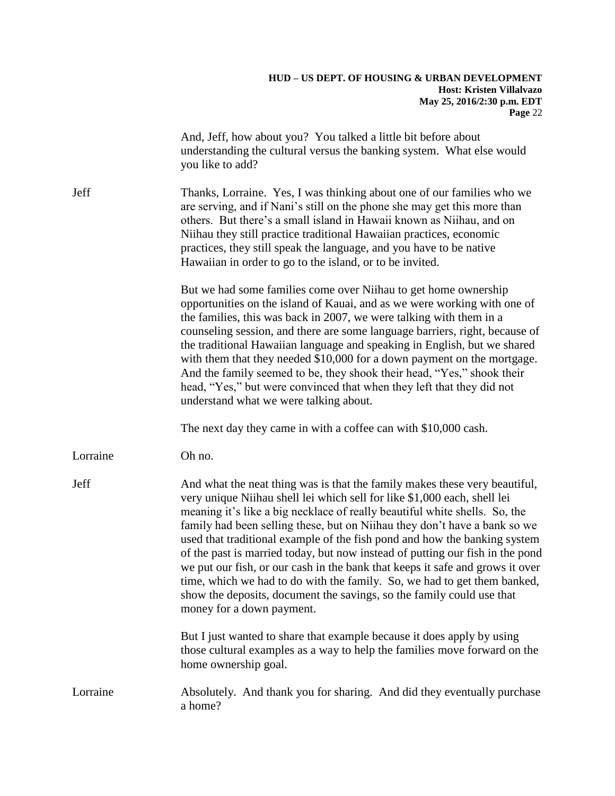|          | And, Jeff, how about you? You talked a little bit before about<br>understanding the cultural versus the banking system. What else would<br>you like to add?                                                                                                                                                                                                                                                                                                                                                                                                                                                                                                                                                                                        |
|----------|----------------------------------------------------------------------------------------------------------------------------------------------------------------------------------------------------------------------------------------------------------------------------------------------------------------------------------------------------------------------------------------------------------------------------------------------------------------------------------------------------------------------------------------------------------------------------------------------------------------------------------------------------------------------------------------------------------------------------------------------------|
| Jeff     | Thanks, Lorraine. Yes, I was thinking about one of our families who we<br>are serving, and if Nani's still on the phone she may get this more than<br>others. But there's a small island in Hawaii known as Niihau, and on<br>Niihau they still practice traditional Hawaiian practices, economic<br>practices, they still speak the language, and you have to be native<br>Hawaiian in order to go to the island, or to be invited.                                                                                                                                                                                                                                                                                                               |
|          | But we had some families come over Niihau to get home ownership<br>opportunities on the island of Kauai, and as we were working with one of<br>the families, this was back in 2007, we were talking with them in a<br>counseling session, and there are some language barriers, right, because of<br>the traditional Hawaiian language and speaking in English, but we shared<br>with them that they needed \$10,000 for a down payment on the mortgage.<br>And the family seemed to be, they shook their head, "Yes," shook their<br>head, "Yes," but were convinced that when they left that they did not<br>understand what we were talking about.                                                                                              |
|          | The next day they came in with a coffee can with \$10,000 cash.                                                                                                                                                                                                                                                                                                                                                                                                                                                                                                                                                                                                                                                                                    |
| Lorraine | Oh no.                                                                                                                                                                                                                                                                                                                                                                                                                                                                                                                                                                                                                                                                                                                                             |
| Jeff     | And what the neat thing was is that the family makes these very beautiful,<br>very unique Niihau shell lei which sell for like \$1,000 each, shell lei<br>meaning it's like a big necklace of really beautiful white shells. So, the<br>family had been selling these, but on Niihau they don't have a bank so we<br>used that traditional example of the fish pond and how the banking system<br>of the past is married today, but now instead of putting our fish in the pond<br>we put our fish, or our cash in the bank that keeps it safe and grows it over<br>time, which we had to do with the family. So, we had to get them banked,<br>show the deposits, document the savings, so the family could use that<br>money for a down payment. |
|          | But I just wanted to share that example because it does apply by using<br>those cultural examples as a way to help the families move forward on the<br>home ownership goal.                                                                                                                                                                                                                                                                                                                                                                                                                                                                                                                                                                        |
| Lorraine | Absolutely. And thank you for sharing. And did they eventually purchase<br>a home?                                                                                                                                                                                                                                                                                                                                                                                                                                                                                                                                                                                                                                                                 |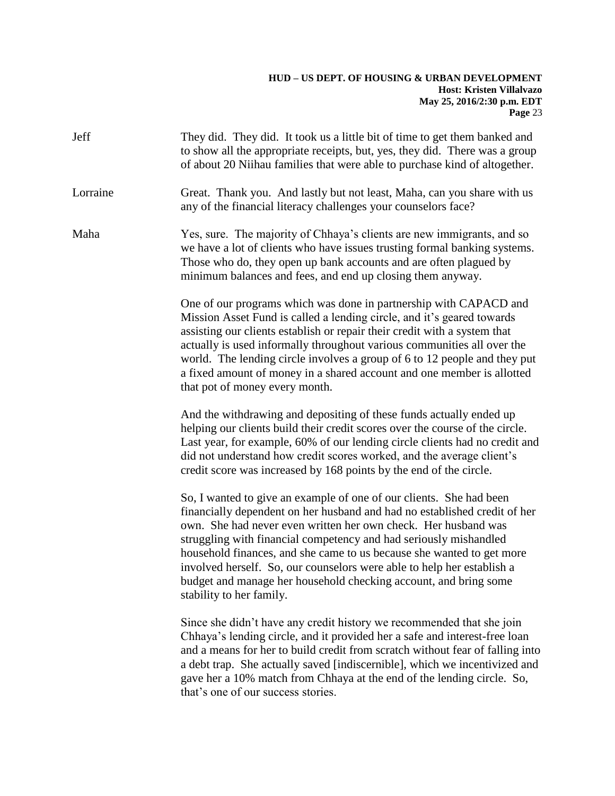| Jeff     | They did. They did. It took us a little bit of time to get them banked and<br>to show all the appropriate receipts, but, yes, they did. There was a group<br>of about 20 Niihau families that were able to purchase kind of altogether.                                                                                                                                                                                                                                                                                                    |
|----------|--------------------------------------------------------------------------------------------------------------------------------------------------------------------------------------------------------------------------------------------------------------------------------------------------------------------------------------------------------------------------------------------------------------------------------------------------------------------------------------------------------------------------------------------|
| Lorraine | Great. Thank you. And lastly but not least, Maha, can you share with us<br>any of the financial literacy challenges your counselors face?                                                                                                                                                                                                                                                                                                                                                                                                  |
| Maha     | Yes, sure. The majority of Chhaya's clients are new immigrants, and so<br>we have a lot of clients who have issues trusting formal banking systems.<br>Those who do, they open up bank accounts and are often plagued by<br>minimum balances and fees, and end up closing them anyway.                                                                                                                                                                                                                                                     |
|          | One of our programs which was done in partnership with CAPACD and<br>Mission Asset Fund is called a lending circle, and it's geared towards<br>assisting our clients establish or repair their credit with a system that<br>actually is used informally throughout various communities all over the<br>world. The lending circle involves a group of 6 to 12 people and they put<br>a fixed amount of money in a shared account and one member is allotted<br>that pot of money every month.                                               |
|          | And the withdrawing and depositing of these funds actually ended up<br>helping our clients build their credit scores over the course of the circle.<br>Last year, for example, 60% of our lending circle clients had no credit and<br>did not understand how credit scores worked, and the average client's<br>credit score was increased by 168 points by the end of the circle.                                                                                                                                                          |
|          | So, I wanted to give an example of one of our clients. She had been<br>financially dependent on her husband and had no established credit of her<br>own. She had never even written her own check. Her husband was<br>struggling with financial competency and had seriously mishandled<br>household finances, and she came to us because she wanted to get more<br>involved herself. So, our counselors were able to help her establish a<br>budget and manage her household checking account, and bring some<br>stability to her family. |
|          | Since she didn't have any credit history we recommended that she join<br>Chhaya's lending circle, and it provided her a safe and interest-free loan<br>and a means for her to build credit from scratch without fear of falling into<br>a debt trap. She actually saved [indiscernible], which we incentivized and<br>gave her a 10% match from Chhaya at the end of the lending circle. So,<br>that's one of our success stories.                                                                                                         |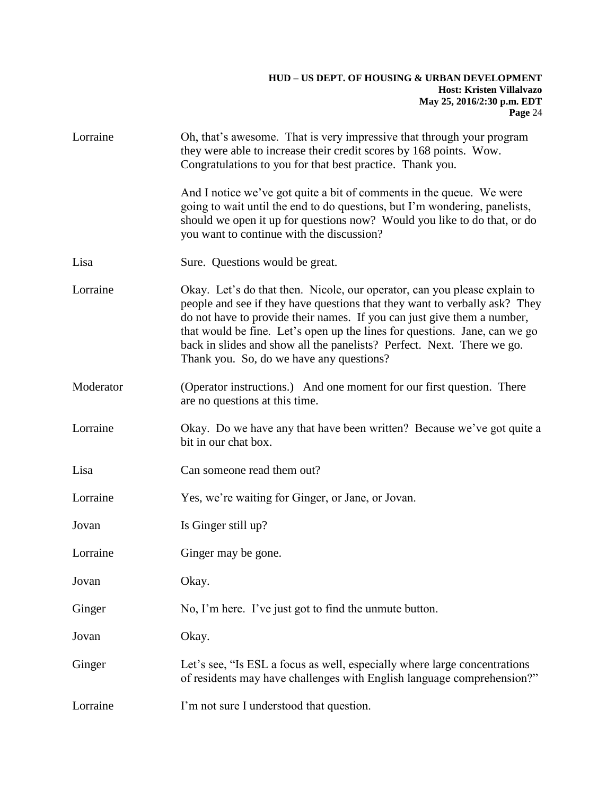| Lorraine  | Oh, that's awesome. That is very impressive that through your program<br>they were able to increase their credit scores by 168 points. Wow.<br>Congratulations to you for that best practice. Thank you.                                                                                                                                                                                                                               |
|-----------|----------------------------------------------------------------------------------------------------------------------------------------------------------------------------------------------------------------------------------------------------------------------------------------------------------------------------------------------------------------------------------------------------------------------------------------|
|           | And I notice we've got quite a bit of comments in the queue. We were<br>going to wait until the end to do questions, but I'm wondering, panelists,<br>should we open it up for questions now? Would you like to do that, or do<br>you want to continue with the discussion?                                                                                                                                                            |
| Lisa      | Sure. Questions would be great.                                                                                                                                                                                                                                                                                                                                                                                                        |
| Lorraine  | Okay. Let's do that then. Nicole, our operator, can you please explain to<br>people and see if they have questions that they want to verbally ask? They<br>do not have to provide their names. If you can just give them a number,<br>that would be fine. Let's open up the lines for questions. Jane, can we go<br>back in slides and show all the panelists? Perfect. Next. There we go.<br>Thank you. So, do we have any questions? |
| Moderator | (Operator instructions.) And one moment for our first question. There<br>are no questions at this time.                                                                                                                                                                                                                                                                                                                                |
| Lorraine  | Okay. Do we have any that have been written? Because we've got quite a<br>bit in our chat box.                                                                                                                                                                                                                                                                                                                                         |
| Lisa      | Can someone read them out?                                                                                                                                                                                                                                                                                                                                                                                                             |
| Lorraine  | Yes, we're waiting for Ginger, or Jane, or Jovan.                                                                                                                                                                                                                                                                                                                                                                                      |
| Jovan     | Is Ginger still up?                                                                                                                                                                                                                                                                                                                                                                                                                    |
| Lorraine  | Ginger may be gone.                                                                                                                                                                                                                                                                                                                                                                                                                    |
| Jovan     | Okay.                                                                                                                                                                                                                                                                                                                                                                                                                                  |
| Ginger    | No, I'm here. I've just got to find the unmute button.                                                                                                                                                                                                                                                                                                                                                                                 |
| Jovan     | Okay.                                                                                                                                                                                                                                                                                                                                                                                                                                  |
| Ginger    | Let's see, "Is ESL a focus as well, especially where large concentrations<br>of residents may have challenges with English language comprehension?"                                                                                                                                                                                                                                                                                    |
| Lorraine  | I'm not sure I understood that question.                                                                                                                                                                                                                                                                                                                                                                                               |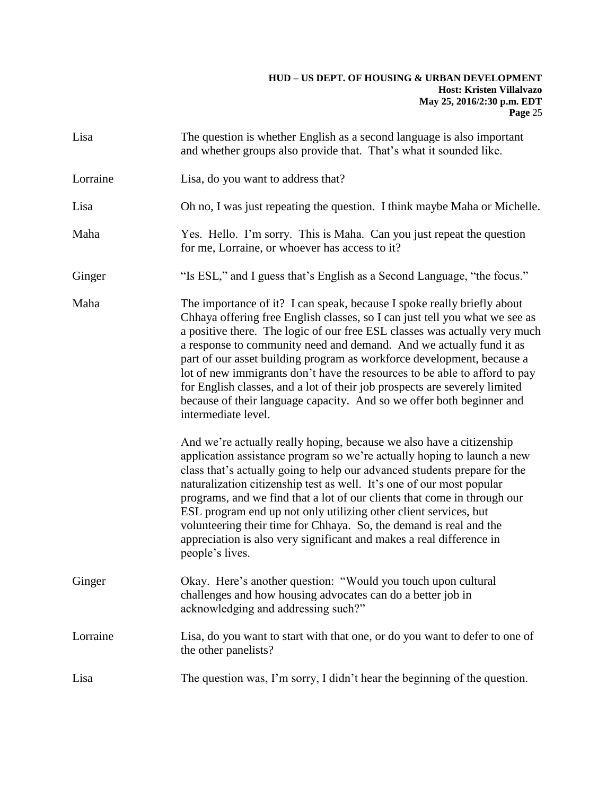| Lisa     | The question is whether English as a second language is also important<br>and whether groups also provide that. That's what it sounded like.                                                                                                                                                                                                                                                                                                                                                                                                                                                                                                      |
|----------|---------------------------------------------------------------------------------------------------------------------------------------------------------------------------------------------------------------------------------------------------------------------------------------------------------------------------------------------------------------------------------------------------------------------------------------------------------------------------------------------------------------------------------------------------------------------------------------------------------------------------------------------------|
| Lorraine | Lisa, do you want to address that?                                                                                                                                                                                                                                                                                                                                                                                                                                                                                                                                                                                                                |
| Lisa     | Oh no, I was just repeating the question. I think maybe Maha or Michelle.                                                                                                                                                                                                                                                                                                                                                                                                                                                                                                                                                                         |
| Maha     | Yes. Hello. I'm sorry. This is Maha. Can you just repeat the question<br>for me, Lorraine, or whoever has access to it?                                                                                                                                                                                                                                                                                                                                                                                                                                                                                                                           |
| Ginger   | "Is ESL," and I guess that's English as a Second Language, "the focus."                                                                                                                                                                                                                                                                                                                                                                                                                                                                                                                                                                           |
| Maha     | The importance of it? I can speak, because I spoke really briefly about<br>Chhaya offering free English classes, so I can just tell you what we see as<br>a positive there. The logic of our free ESL classes was actually very much<br>a response to community need and demand. And we actually fund it as<br>part of our asset building program as workforce development, because a<br>lot of new immigrants don't have the resources to be able to afford to pay<br>for English classes, and a lot of their job prospects are severely limited<br>because of their language capacity. And so we offer both beginner and<br>intermediate level. |
|          | And we're actually really hoping, because we also have a citizenship<br>application assistance program so we're actually hoping to launch a new<br>class that's actually going to help our advanced students prepare for the<br>naturalization citizenship test as well. It's one of our most popular<br>programs, and we find that a lot of our clients that come in through our<br>ESL program end up not only utilizing other client services, but<br>volunteering their time for Chhaya. So, the demand is real and the<br>appreciation is also very significant and makes a real difference in<br>people's lives.                            |
| Ginger   | Okay. Here's another question: "Would you touch upon cultural<br>challenges and how housing advocates can do a better job in<br>acknowledging and addressing such?"                                                                                                                                                                                                                                                                                                                                                                                                                                                                               |
| Lorraine | Lisa, do you want to start with that one, or do you want to defer to one of<br>the other panelists?                                                                                                                                                                                                                                                                                                                                                                                                                                                                                                                                               |
| Lisa     | The question was, I'm sorry, I didn't hear the beginning of the question.                                                                                                                                                                                                                                                                                                                                                                                                                                                                                                                                                                         |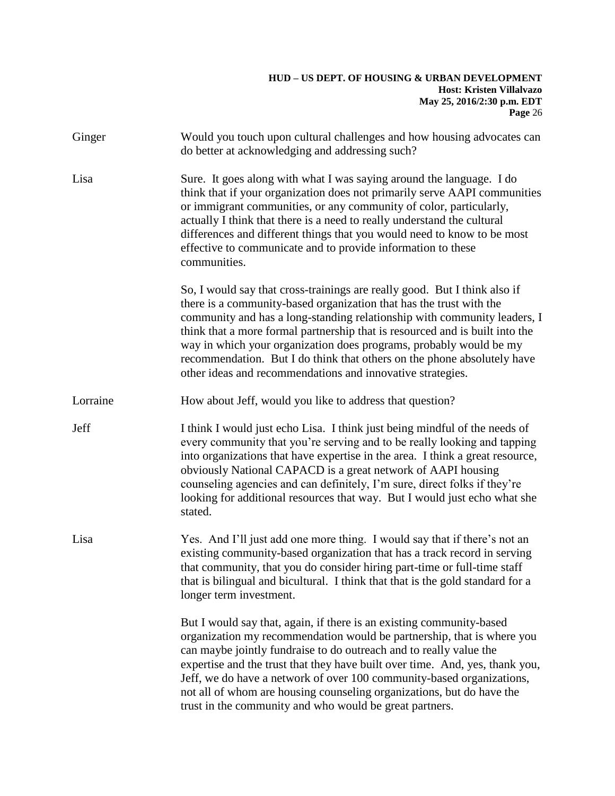| Ginger   | Would you touch upon cultural challenges and how housing advocates can<br>do better at acknowledging and addressing such?                                                                                                                                                                                                                                                                                                                                                                                                   |
|----------|-----------------------------------------------------------------------------------------------------------------------------------------------------------------------------------------------------------------------------------------------------------------------------------------------------------------------------------------------------------------------------------------------------------------------------------------------------------------------------------------------------------------------------|
| Lisa     | Sure. It goes along with what I was saying around the language. I do<br>think that if your organization does not primarily serve AAPI communities<br>or immigrant communities, or any community of color, particularly,<br>actually I think that there is a need to really understand the cultural<br>differences and different things that you would need to know to be most<br>effective to communicate and to provide information to these<br>communities.                                                               |
|          | So, I would say that cross-trainings are really good. But I think also if<br>there is a community-based organization that has the trust with the<br>community and has a long-standing relationship with community leaders, I<br>think that a more formal partnership that is resourced and is built into the<br>way in which your organization does programs, probably would be my<br>recommendation. But I do think that others on the phone absolutely have<br>other ideas and recommendations and innovative strategies. |
| Lorraine | How about Jeff, would you like to address that question?                                                                                                                                                                                                                                                                                                                                                                                                                                                                    |
| Jeff     | I think I would just echo Lisa. I think just being mindful of the needs of<br>every community that you're serving and to be really looking and tapping<br>into organizations that have expertise in the area. I think a great resource,<br>obviously National CAPACD is a great network of AAPI housing<br>counseling agencies and can definitely, I'm sure, direct folks if they're<br>looking for additional resources that way. But I would just echo what she<br>stated.                                                |
| Lisa     | Yes. And I'll just add one more thing. I would say that if there's not an<br>existing community-based organization that has a track record in serving<br>that community, that you do consider hiring part-time or full-time staff<br>that is bilingual and bicultural. I think that that is the gold standard for a<br>longer term investment.                                                                                                                                                                              |
|          | But I would say that, again, if there is an existing community-based<br>organization my recommendation would be partnership, that is where you<br>can maybe jointly fundraise to do outreach and to really value the<br>expertise and the trust that they have built over time. And, yes, thank you,<br>Jeff, we do have a network of over 100 community-based organizations,<br>not all of whom are housing counseling organizations, but do have the<br>trust in the community and who would be great partners.           |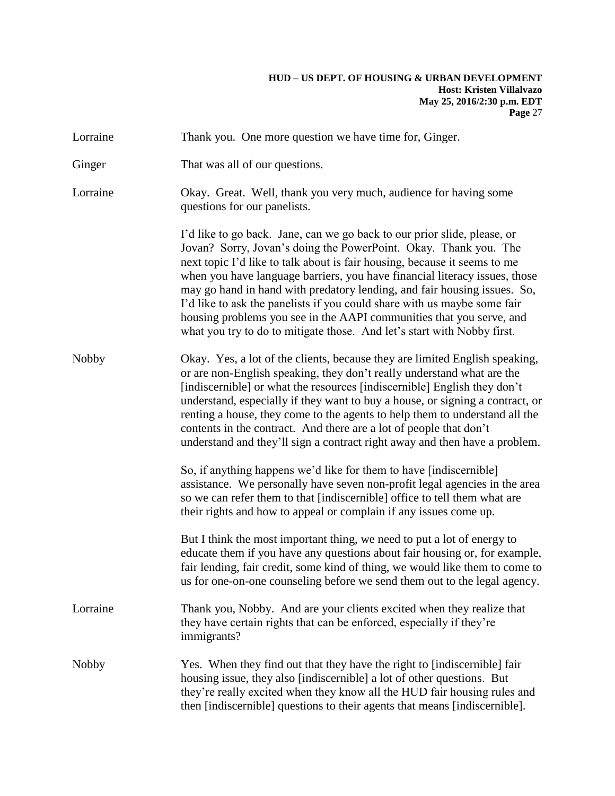| Lorraine     | Thank you. One more question we have time for, Ginger.                                                                                                                                                                                                                                                                                                                                                                                                                                                                                                                                                             |
|--------------|--------------------------------------------------------------------------------------------------------------------------------------------------------------------------------------------------------------------------------------------------------------------------------------------------------------------------------------------------------------------------------------------------------------------------------------------------------------------------------------------------------------------------------------------------------------------------------------------------------------------|
| Ginger       | That was all of our questions.                                                                                                                                                                                                                                                                                                                                                                                                                                                                                                                                                                                     |
| Lorraine     | Okay. Great. Well, thank you very much, audience for having some<br>questions for our panelists.                                                                                                                                                                                                                                                                                                                                                                                                                                                                                                                   |
|              | I'd like to go back. Jane, can we go back to our prior slide, please, or<br>Jovan? Sorry, Jovan's doing the PowerPoint. Okay. Thank you. The<br>next topic I'd like to talk about is fair housing, because it seems to me<br>when you have language barriers, you have financial literacy issues, those<br>may go hand in hand with predatory lending, and fair housing issues. So,<br>I'd like to ask the panelists if you could share with us maybe some fair<br>housing problems you see in the AAPI communities that you serve, and<br>what you try to do to mitigate those. And let's start with Nobby first. |
| <b>Nobby</b> | Okay. Yes, a lot of the clients, because they are limited English speaking,<br>or are non-English speaking, they don't really understand what are the<br>[indiscernible] or what the resources [indiscernible] English they don't<br>understand, especially if they want to buy a house, or signing a contract, or<br>renting a house, they come to the agents to help them to understand all the<br>contents in the contract. And there are a lot of people that don't<br>understand and they'll sign a contract right away and then have a problem.                                                              |
|              | So, if anything happens we'd like for them to have [indiscernible]<br>assistance. We personally have seven non-profit legal agencies in the area<br>so we can refer them to that [indiscernible] office to tell them what are<br>their rights and how to appeal or complain if any issues come up.                                                                                                                                                                                                                                                                                                                 |
|              | But I think the most important thing, we need to put a lot of energy to<br>educate them if you have any questions about fair housing or, for example,<br>fair lending, fair credit, some kind of thing, we would like them to come to<br>us for one-on-one counseling before we send them out to the legal agency.                                                                                                                                                                                                                                                                                                 |
| Lorraine     | Thank you, Nobby. And are your clients excited when they realize that<br>they have certain rights that can be enforced, especially if they're<br>immigrants?                                                                                                                                                                                                                                                                                                                                                                                                                                                       |
| <b>Nobby</b> | Yes. When they find out that they have the right to [indiscernible] fair<br>housing issue, they also [indiscernible] a lot of other questions. But<br>they're really excited when they know all the HUD fair housing rules and<br>then [indiscernible] questions to their agents that means [indiscernible].                                                                                                                                                                                                                                                                                                       |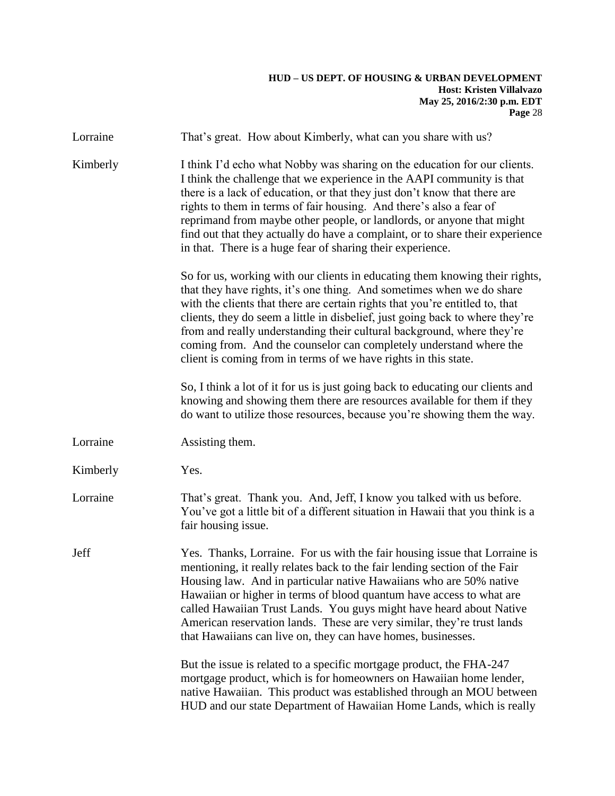| Lorraine | That's great. How about Kimberly, what can you share with us?                                                                                                                                                                                                                                                                                                                                                                                                                                                                            |
|----------|------------------------------------------------------------------------------------------------------------------------------------------------------------------------------------------------------------------------------------------------------------------------------------------------------------------------------------------------------------------------------------------------------------------------------------------------------------------------------------------------------------------------------------------|
| Kimberly | I think I'd echo what Nobby was sharing on the education for our clients.<br>I think the challenge that we experience in the AAPI community is that<br>there is a lack of education, or that they just don't know that there are<br>rights to them in terms of fair housing. And there's also a fear of<br>reprimand from maybe other people, or landlords, or anyone that might<br>find out that they actually do have a complaint, or to share their experience<br>in that. There is a huge fear of sharing their experience.          |
|          | So for us, working with our clients in educating them knowing their rights,<br>that they have rights, it's one thing. And sometimes when we do share<br>with the clients that there are certain rights that you're entitled to, that<br>clients, they do seem a little in disbelief, just going back to where they're<br>from and really understanding their cultural background, where they're<br>coming from. And the counselor can completely understand where the<br>client is coming from in terms of we have rights in this state. |
|          | So, I think a lot of it for us is just going back to educating our clients and<br>knowing and showing them there are resources available for them if they<br>do want to utilize those resources, because you're showing them the way.                                                                                                                                                                                                                                                                                                    |
| Lorraine | Assisting them.                                                                                                                                                                                                                                                                                                                                                                                                                                                                                                                          |
| Kimberly | Yes.                                                                                                                                                                                                                                                                                                                                                                                                                                                                                                                                     |
| Lorraine | That's great. Thank you. And, Jeff, I know you talked with us before.<br>You've got a little bit of a different situation in Hawaii that you think is a<br>fair housing issue.                                                                                                                                                                                                                                                                                                                                                           |
| Jeff     | Yes. Thanks, Lorraine. For us with the fair housing issue that Lorraine is<br>mentioning, it really relates back to the fair lending section of the Fair<br>Housing law. And in particular native Hawaiians who are 50% native<br>Hawaiian or higher in terms of blood quantum have access to what are<br>called Hawaiian Trust Lands. You guys might have heard about Native<br>American reservation lands. These are very similar, they're trust lands<br>that Hawaiians can live on, they can have homes, businesses.                 |
|          | But the issue is related to a specific mortgage product, the FHA-247<br>mortgage product, which is for homeowners on Hawaiian home lender,<br>native Hawaiian. This product was established through an MOU between<br>HUD and our state Department of Hawaiian Home Lands, which is really                                                                                                                                                                                                                                               |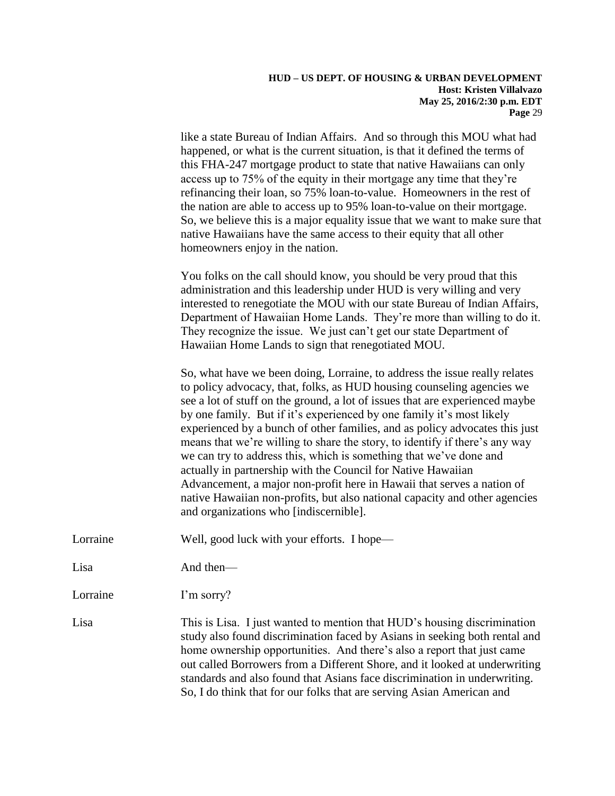like a state Bureau of Indian Affairs. And so through this MOU what had happened, or what is the current situation, is that it defined the terms of this FHA-247 mortgage product to state that native Hawaiians can only access up to 75% of the equity in their mortgage any time that they're refinancing their loan, so 75% loan-to-value. Homeowners in the rest of the nation are able to access up to 95% loan-to-value on their mortgage. So, we believe this is a major equality issue that we want to make sure that native Hawaiians have the same access to their equity that all other homeowners enjoy in the nation.

You folks on the call should know, you should be very proud that this administration and this leadership under HUD is very willing and very interested to renegotiate the MOU with our state Bureau of Indian Affairs, Department of Hawaiian Home Lands. They're more than willing to do it. They recognize the issue. We just can't get our state Department of Hawaiian Home Lands to sign that renegotiated MOU.

So, what have we been doing, Lorraine, to address the issue really relates to policy advocacy, that, folks, as HUD housing counseling agencies we see a lot of stuff on the ground, a lot of issues that are experienced maybe by one family. But if it's experienced by one family it's most likely experienced by a bunch of other families, and as policy advocates this just means that we're willing to share the story, to identify if there's any way we can try to address this, which is something that we've done and actually in partnership with the Council for Native Hawaiian Advancement, a major non-profit here in Hawaii that serves a nation of native Hawaiian non-profits, but also national capacity and other agencies and organizations who [indiscernible].

Lorraine Well, good luck with your efforts. I hope—

Lisa And then—

Lorraine I'm sorry?

Lisa This is Lisa. I just wanted to mention that HUD's housing discrimination study also found discrimination faced by Asians in seeking both rental and home ownership opportunities. And there's also a report that just came out called Borrowers from a Different Shore, and it looked at underwriting standards and also found that Asians face discrimination in underwriting. So, I do think that for our folks that are serving Asian American and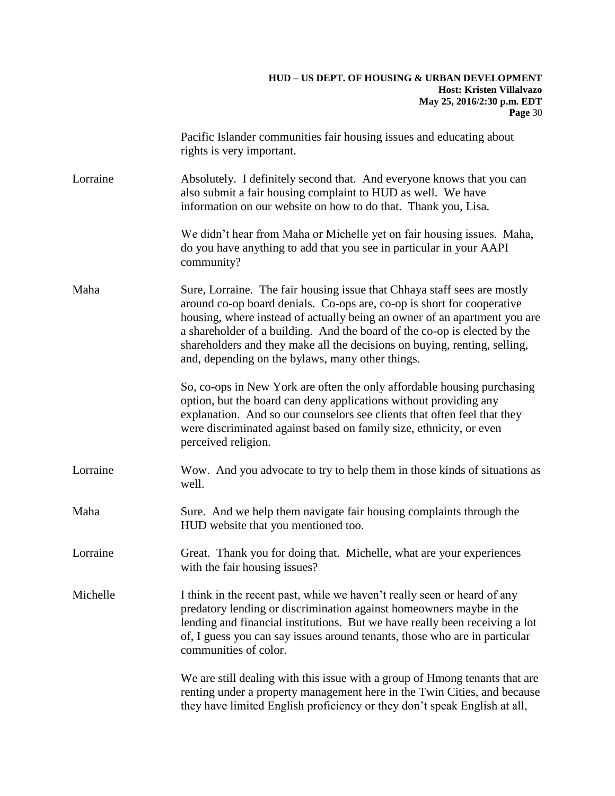|          | Pacific Islander communities fair housing issues and educating about<br>rights is very important.                                                                                                                                                                                                                                                                                                                                             |
|----------|-----------------------------------------------------------------------------------------------------------------------------------------------------------------------------------------------------------------------------------------------------------------------------------------------------------------------------------------------------------------------------------------------------------------------------------------------|
| Lorraine | Absolutely. I definitely second that. And everyone knows that you can<br>also submit a fair housing complaint to HUD as well. We have<br>information on our website on how to do that. Thank you, Lisa.                                                                                                                                                                                                                                       |
|          | We didn't hear from Maha or Michelle yet on fair housing issues. Maha,<br>do you have anything to add that you see in particular in your AAPI<br>community?                                                                                                                                                                                                                                                                                   |
| Maha     | Sure, Lorraine. The fair housing issue that Chhaya staff sees are mostly<br>around co-op board denials. Co-ops are, co-op is short for cooperative<br>housing, where instead of actually being an owner of an apartment you are<br>a shareholder of a building. And the board of the co-op is elected by the<br>shareholders and they make all the decisions on buying, renting, selling,<br>and, depending on the bylaws, many other things. |
|          | So, co-ops in New York are often the only affordable housing purchasing<br>option, but the board can deny applications without providing any<br>explanation. And so our counselors see clients that often feel that they<br>were discriminated against based on family size, ethnicity, or even<br>perceived religion.                                                                                                                        |
| Lorraine | Wow. And you advocate to try to help them in those kinds of situations as<br>well.                                                                                                                                                                                                                                                                                                                                                            |
| Maha     | Sure. And we help them navigate fair housing complaints through the<br>HUD website that you mentioned too.                                                                                                                                                                                                                                                                                                                                    |
| Lorraine | Great. Thank you for doing that. Michelle, what are your experiences<br>with the fair housing issues?                                                                                                                                                                                                                                                                                                                                         |
| Michelle | I think in the recent past, while we haven't really seen or heard of any<br>predatory lending or discrimination against homeowners maybe in the<br>lending and financial institutions. But we have really been receiving a lot<br>of, I guess you can say issues around tenants, those who are in particular<br>communities of color.                                                                                                         |
|          | We are still dealing with this issue with a group of Hmong tenants that are<br>renting under a property management here in the Twin Cities, and because<br>they have limited English proficiency or they don't speak English at all,                                                                                                                                                                                                          |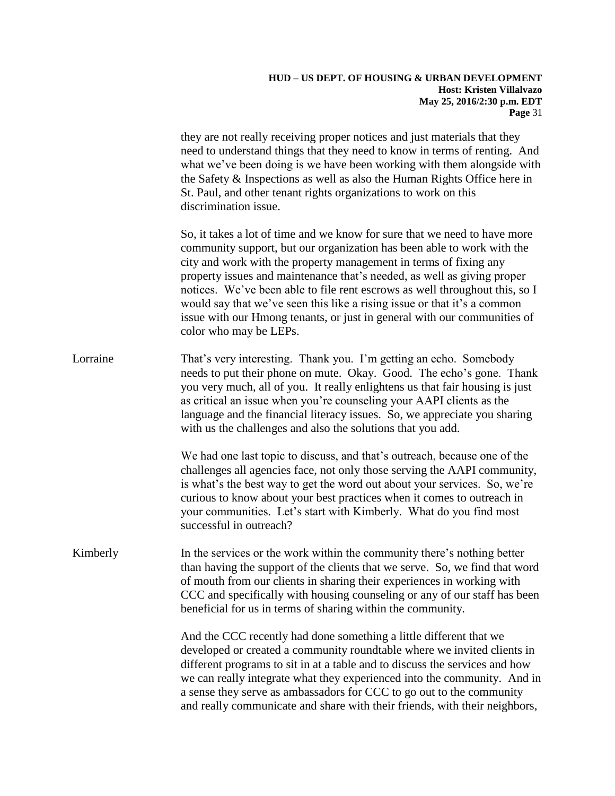they are not really receiving proper notices and just materials that they need to understand things that they need to know in terms of renting. And what we've been doing is we have been working with them alongside with the Safety & Inspections as well as also the Human Rights Office here in St. Paul, and other tenant rights organizations to work on this discrimination issue.

So, it takes a lot of time and we know for sure that we need to have more community support, but our organization has been able to work with the city and work with the property management in terms of fixing any property issues and maintenance that's needed, as well as giving proper notices. We've been able to file rent escrows as well throughout this, so I would say that we've seen this like a rising issue or that it's a common issue with our Hmong tenants, or just in general with our communities of color who may be LEPs.

Lorraine That's very interesting. Thank you. I'm getting an echo. Somebody needs to put their phone on mute. Okay. Good. The echo's gone. Thank you very much, all of you. It really enlightens us that fair housing is just as critical an issue when you're counseling your AAPI clients as the language and the financial literacy issues. So, we appreciate you sharing with us the challenges and also the solutions that you add.

> We had one last topic to discuss, and that's outreach, because one of the challenges all agencies face, not only those serving the AAPI community, is what's the best way to get the word out about your services. So, we're curious to know about your best practices when it comes to outreach in your communities. Let's start with Kimberly. What do you find most successful in outreach?

Kimberly In the services or the work within the community there's nothing better than having the support of the clients that we serve. So, we find that word of mouth from our clients in sharing their experiences in working with CCC and specifically with housing counseling or any of our staff has been beneficial for us in terms of sharing within the community.

> And the CCC recently had done something a little different that we developed or created a community roundtable where we invited clients in different programs to sit in at a table and to discuss the services and how we can really integrate what they experienced into the community. And in a sense they serve as ambassadors for CCC to go out to the community and really communicate and share with their friends, with their neighbors,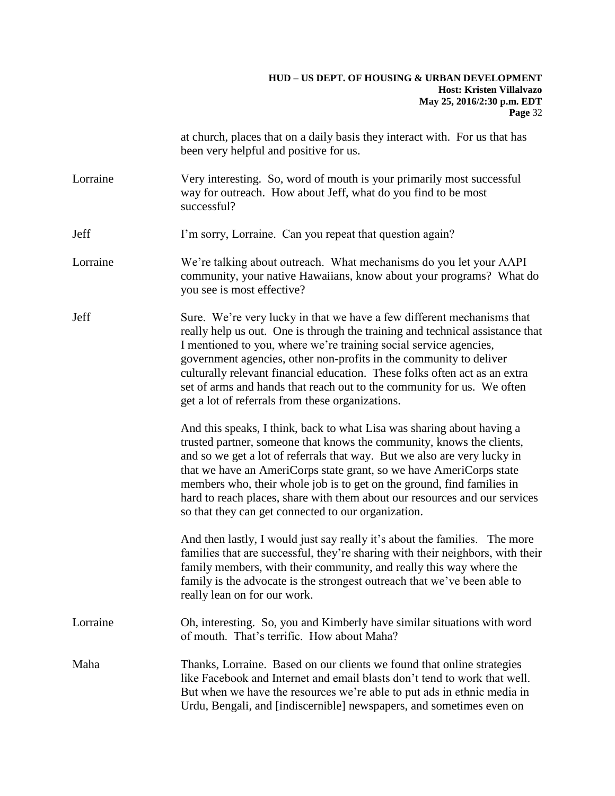|          | at church, places that on a daily basis they interact with. For us that has<br>been very helpful and positive for us.                                                                                                                                                                                                                                                                                                                                                                                             |
|----------|-------------------------------------------------------------------------------------------------------------------------------------------------------------------------------------------------------------------------------------------------------------------------------------------------------------------------------------------------------------------------------------------------------------------------------------------------------------------------------------------------------------------|
| Lorraine | Very interesting. So, word of mouth is your primarily most successful<br>way for outreach. How about Jeff, what do you find to be most<br>successful?                                                                                                                                                                                                                                                                                                                                                             |
| Jeff     | I'm sorry, Lorraine. Can you repeat that question again?                                                                                                                                                                                                                                                                                                                                                                                                                                                          |
| Lorraine | We're talking about outreach. What mechanisms do you let your AAPI<br>community, your native Hawaiians, know about your programs? What do<br>you see is most effective?                                                                                                                                                                                                                                                                                                                                           |
| Jeff     | Sure. We're very lucky in that we have a few different mechanisms that<br>really help us out. One is through the training and technical assistance that<br>I mentioned to you, where we're training social service agencies,<br>government agencies, other non-profits in the community to deliver<br>culturally relevant financial education. These folks often act as an extra<br>set of arms and hands that reach out to the community for us. We often<br>get a lot of referrals from these organizations.    |
|          | And this speaks, I think, back to what Lisa was sharing about having a<br>trusted partner, someone that knows the community, knows the clients,<br>and so we get a lot of referrals that way. But we also are very lucky in<br>that we have an AmeriCorps state grant, so we have AmeriCorps state<br>members who, their whole job is to get on the ground, find families in<br>hard to reach places, share with them about our resources and our services<br>so that they can get connected to our organization. |
|          | And then lastly, I would just say really it's about the families. The more<br>families that are successful, they're sharing with their neighbors, with their<br>family members, with their community, and really this way where the<br>family is the advocate is the strongest outreach that we've been able to<br>really lean on for our work.                                                                                                                                                                   |
| Lorraine | Oh, interesting. So, you and Kimberly have similar situations with word<br>of mouth. That's terrific. How about Maha?                                                                                                                                                                                                                                                                                                                                                                                             |
| Maha     | Thanks, Lorraine. Based on our clients we found that online strategies<br>like Facebook and Internet and email blasts don't tend to work that well.<br>But when we have the resources we're able to put ads in ethnic media in<br>Urdu, Bengali, and [indiscernible] newspapers, and sometimes even on                                                                                                                                                                                                            |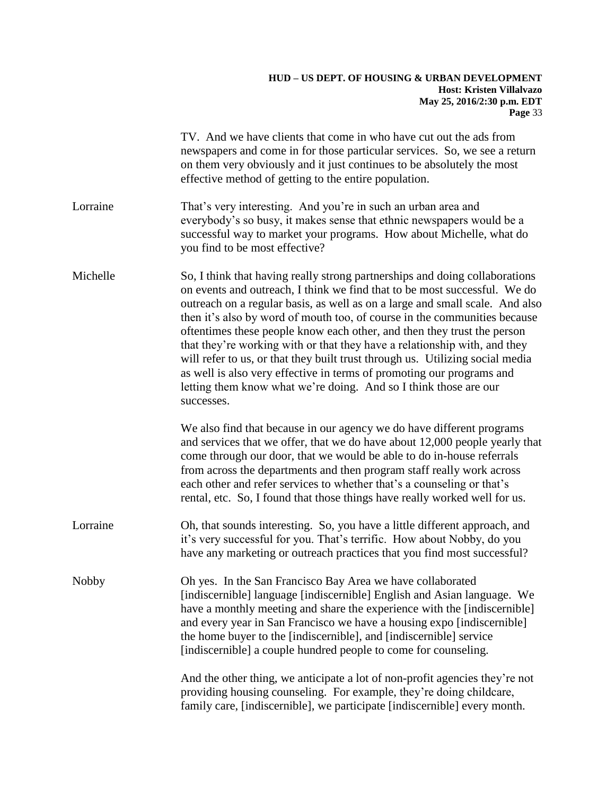|              | TV. And we have clients that come in who have cut out the ads from<br>newspapers and come in for those particular services. So, we see a return<br>on them very obviously and it just continues to be absolutely the most<br>effective method of getting to the entire population.                                                                                                                                                                                                                                                                                                                                                                                                                                        |
|--------------|---------------------------------------------------------------------------------------------------------------------------------------------------------------------------------------------------------------------------------------------------------------------------------------------------------------------------------------------------------------------------------------------------------------------------------------------------------------------------------------------------------------------------------------------------------------------------------------------------------------------------------------------------------------------------------------------------------------------------|
| Lorraine     | That's very interesting. And you're in such an urban area and<br>everybody's so busy, it makes sense that ethnic newspapers would be a<br>successful way to market your programs. How about Michelle, what do<br>you find to be most effective?                                                                                                                                                                                                                                                                                                                                                                                                                                                                           |
| Michelle     | So, I think that having really strong partnerships and doing collaborations<br>on events and outreach, I think we find that to be most successful. We do<br>outreach on a regular basis, as well as on a large and small scale. And also<br>then it's also by word of mouth too, of course in the communities because<br>oftentimes these people know each other, and then they trust the person<br>that they're working with or that they have a relationship with, and they<br>will refer to us, or that they built trust through us. Utilizing social media<br>as well is also very effective in terms of promoting our programs and<br>letting them know what we're doing. And so I think those are our<br>successes. |
|              | We also find that because in our agency we do have different programs<br>and services that we offer, that we do have about 12,000 people yearly that<br>come through our door, that we would be able to do in-house referrals<br>from across the departments and then program staff really work across<br>each other and refer services to whether that's a counseling or that's<br>rental, etc. So, I found that those things have really worked well for us.                                                                                                                                                                                                                                                            |
| Lorraine     | Oh, that sounds interesting. So, you have a little different approach, and<br>it's very successful for you. That's terrific. How about Nobby, do you<br>have any marketing or outreach practices that you find most successful?                                                                                                                                                                                                                                                                                                                                                                                                                                                                                           |
| <b>Nobby</b> | Oh yes. In the San Francisco Bay Area we have collaborated<br>[indiscernible] language [indiscernible] English and Asian language. We<br>have a monthly meeting and share the experience with the [indiscernible]<br>and every year in San Francisco we have a housing expo [indiscernible]<br>the home buyer to the [indiscernible], and [indiscernible] service<br>[indiscernible] a couple hundred people to come for counseling.                                                                                                                                                                                                                                                                                      |
|              | And the other thing, we anticipate a lot of non-profit agencies they're not<br>providing housing counseling. For example, they're doing childcare,<br>family care, [indiscernible], we participate [indiscernible] every month.                                                                                                                                                                                                                                                                                                                                                                                                                                                                                           |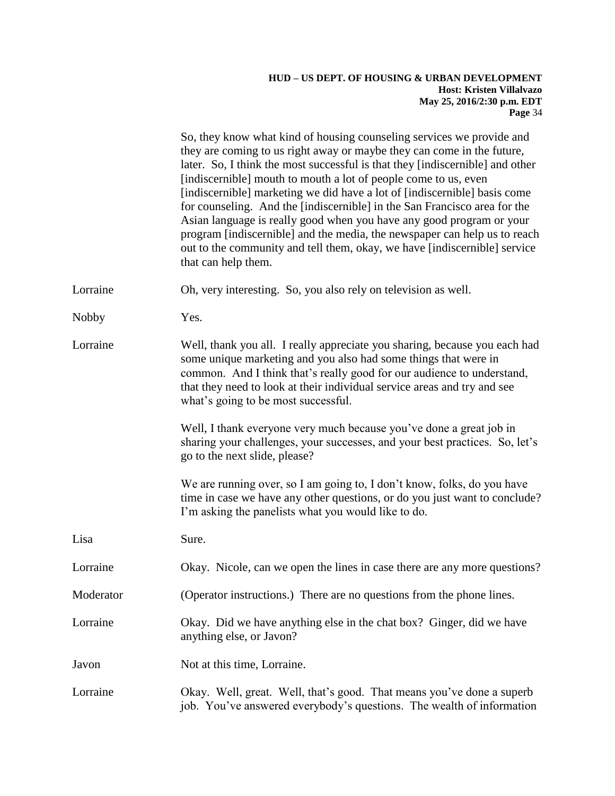|              | So, they know what kind of housing counseling services we provide and<br>they are coming to us right away or maybe they can come in the future,<br>later. So, I think the most successful is that they [indiscernible] and other<br>[indiscernible] mouth to mouth a lot of people come to us, even<br>[indiscernible] marketing we did have a lot of [indiscernible] basis come<br>for counseling. And the [indiscernible] in the San Francisco area for the<br>Asian language is really good when you have any good program or your<br>program [indiscernible] and the media, the newspaper can help us to reach<br>out to the community and tell them, okay, we have [indiscernible] service<br>that can help them. |
|--------------|------------------------------------------------------------------------------------------------------------------------------------------------------------------------------------------------------------------------------------------------------------------------------------------------------------------------------------------------------------------------------------------------------------------------------------------------------------------------------------------------------------------------------------------------------------------------------------------------------------------------------------------------------------------------------------------------------------------------|
| Lorraine     | Oh, very interesting. So, you also rely on television as well.                                                                                                                                                                                                                                                                                                                                                                                                                                                                                                                                                                                                                                                         |
| <b>Nobby</b> | Yes.                                                                                                                                                                                                                                                                                                                                                                                                                                                                                                                                                                                                                                                                                                                   |
| Lorraine     | Well, thank you all. I really appreciate you sharing, because you each had<br>some unique marketing and you also had some things that were in<br>common. And I think that's really good for our audience to understand,<br>that they need to look at their individual service areas and try and see<br>what's going to be most successful.                                                                                                                                                                                                                                                                                                                                                                             |
|              | Well, I thank everyone very much because you've done a great job in<br>sharing your challenges, your successes, and your best practices. So, let's<br>go to the next slide, please?                                                                                                                                                                                                                                                                                                                                                                                                                                                                                                                                    |
|              | We are running over, so I am going to, I don't know, folks, do you have<br>time in case we have any other questions, or do you just want to conclude?<br>I'm asking the panelists what you would like to do.                                                                                                                                                                                                                                                                                                                                                                                                                                                                                                           |
| Lisa         | Sure.                                                                                                                                                                                                                                                                                                                                                                                                                                                                                                                                                                                                                                                                                                                  |
| Lorraine     | Okay. Nicole, can we open the lines in case there are any more questions?                                                                                                                                                                                                                                                                                                                                                                                                                                                                                                                                                                                                                                              |
| Moderator    | (Operator instructions.) There are no questions from the phone lines.                                                                                                                                                                                                                                                                                                                                                                                                                                                                                                                                                                                                                                                  |
| Lorraine     | Okay. Did we have anything else in the chat box? Ginger, did we have<br>anything else, or Javon?                                                                                                                                                                                                                                                                                                                                                                                                                                                                                                                                                                                                                       |
| Javon        | Not at this time, Lorraine.                                                                                                                                                                                                                                                                                                                                                                                                                                                                                                                                                                                                                                                                                            |
| Lorraine     | Okay. Well, great. Well, that's good. That means you've done a superb<br>job. You've answered everybody's questions. The wealth of information                                                                                                                                                                                                                                                                                                                                                                                                                                                                                                                                                                         |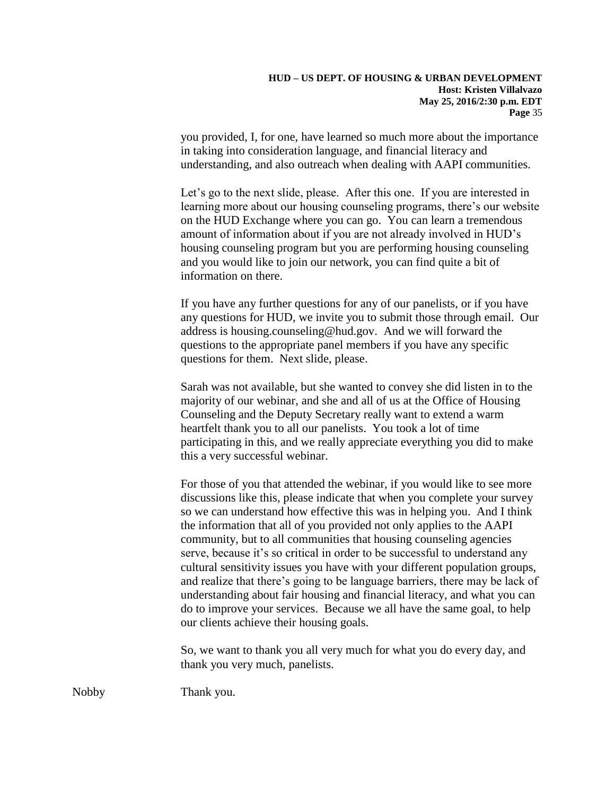you provided, I, for one, have learned so much more about the importance in taking into consideration language, and financial literacy and understanding, and also outreach when dealing with AAPI communities.

Let's go to the next slide, please. After this one. If you are interested in learning more about our housing counseling programs, there's our website on the HUD Exchange where you can go. You can learn a tremendous amount of information about if you are not already involved in HUD's housing counseling program but you are performing housing counseling and you would like to join our network, you can find quite a bit of information on there.

If you have any further questions for any of our panelists, or if you have any questions for HUD, we invite you to submit those through email. Our address is housing.counseling@hud.gov. And we will forward the questions to the appropriate panel members if you have any specific questions for them. Next slide, please.

Sarah was not available, but she wanted to convey she did listen in to the majority of our webinar, and she and all of us at the Office of Housing Counseling and the Deputy Secretary really want to extend a warm heartfelt thank you to all our panelists. You took a lot of time participating in this, and we really appreciate everything you did to make this a very successful webinar.

For those of you that attended the webinar, if you would like to see more discussions like this, please indicate that when you complete your survey so we can understand how effective this was in helping you. And I think the information that all of you provided not only applies to the AAPI community, but to all communities that housing counseling agencies serve, because it's so critical in order to be successful to understand any cultural sensitivity issues you have with your different population groups, and realize that there's going to be language barriers, there may be lack of understanding about fair housing and financial literacy, and what you can do to improve your services. Because we all have the same goal, to help our clients achieve their housing goals.

So, we want to thank you all very much for what you do every day, and thank you very much, panelists.

Nobby Thank you.